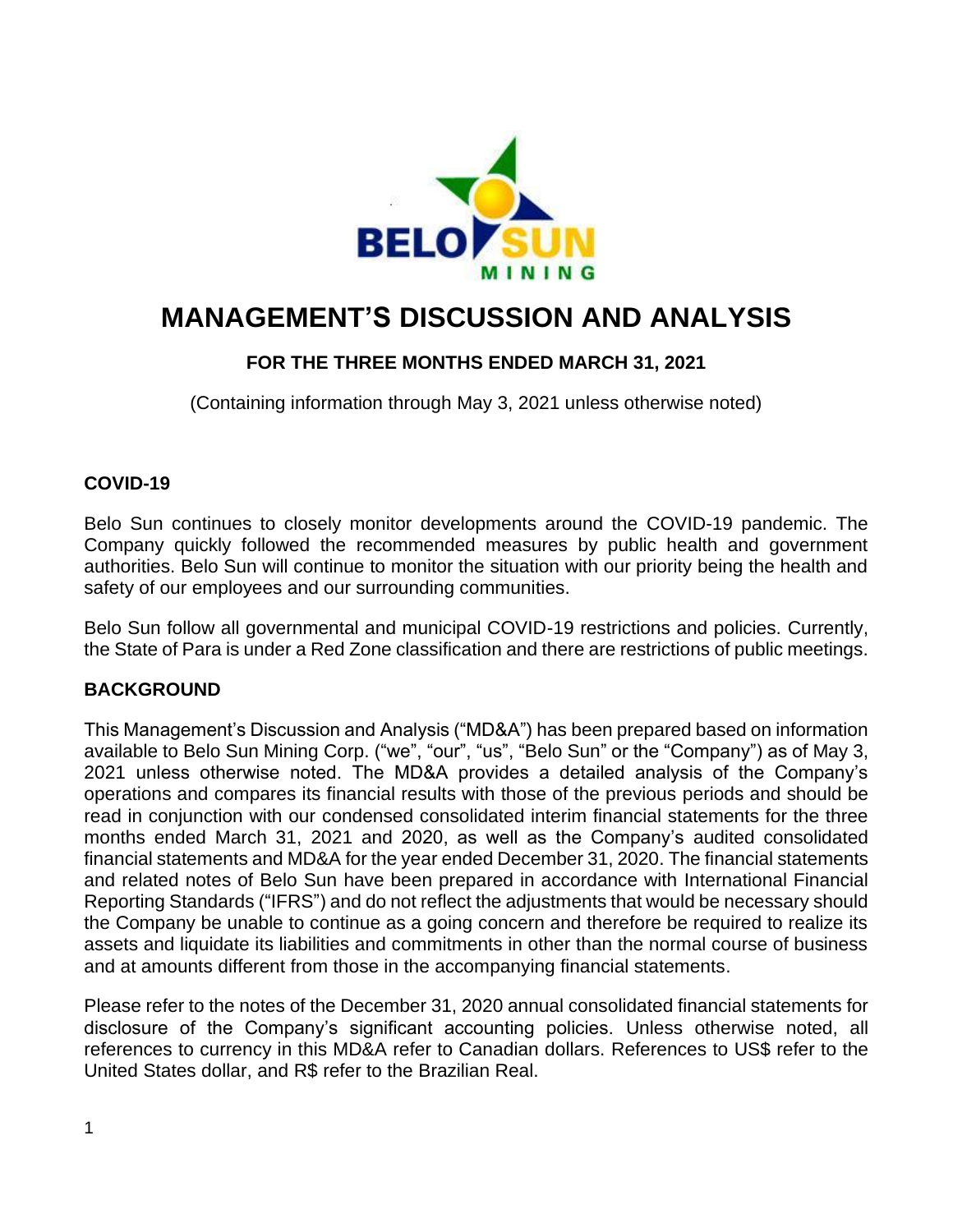

# **MANAGEMENT'S DISCUSSION AND ANALYSIS**

# **FOR THE THREE MONTHS ENDED MARCH 31, 2021**

(Containing information through May 3, 2021 unless otherwise noted)

## **COVID-19**

Belo Sun continues to closely monitor developments around the COVID-19 pandemic. The Company quickly followed the recommended measures by public health and government authorities. Belo Sun will continue to monitor the situation with our priority being the health and safety of our employees and our surrounding communities.

Belo Sun follow all governmental and municipal COVID-19 restrictions and policies. Currently, the State of Para is under a Red Zone classification and there are restrictions of public meetings.

# **BACKGROUND**

This Management's Discussion and Analysis ("MD&A") has been prepared based on information available to Belo Sun Mining Corp. ("we", "our", "us", "Belo Sun" or the "Company") as of May 3, 2021 unless otherwise noted. The MD&A provides a detailed analysis of the Company's operations and compares its financial results with those of the previous periods and should be read in conjunction with our condensed consolidated interim financial statements for the three months ended March 31, 2021 and 2020, as well as the Company's audited consolidated financial statements and MD&A for the year ended December 31, 2020. The financial statements and related notes of Belo Sun have been prepared in accordance with International Financial Reporting Standards ("IFRS") and do not reflect the adjustments that would be necessary should the Company be unable to continue as a going concern and therefore be required to realize its assets and liquidate its liabilities and commitments in other than the normal course of business and at amounts different from those in the accompanying financial statements.

Please refer to the notes of the December 31, 2020 annual consolidated financial statements for disclosure of the Company's significant accounting policies. Unless otherwise noted, all references to currency in this MD&A refer to Canadian dollars. References to US\$ refer to the United States dollar, and R\$ refer to the Brazilian Real.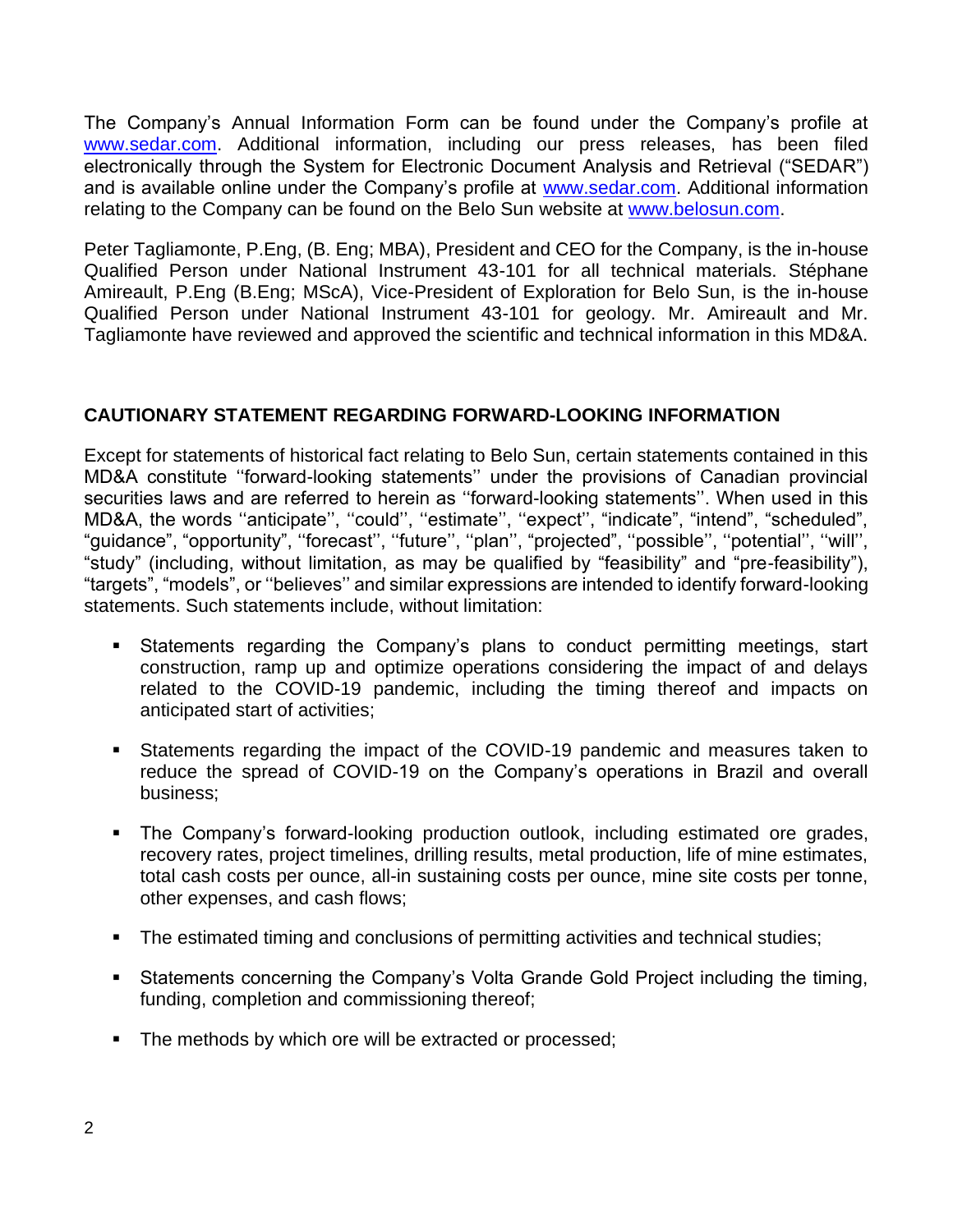The Company's Annual Information Form can be found under the Company's profile at [www.sedar.com.](http://www.sedar.com/) Additional information, including our press releases, has been filed electronically through the System for Electronic Document Analysis and Retrieval ("SEDAR") and is available online under the Company's profile at [www.sedar.com.](http://www.sedar.com/) Additional information relating to the Company can be found on the Belo Sun website at [www.belosun.com.](http://www.belosun.com/)

Peter Tagliamonte, P.Eng, (B. Eng; MBA), President and CEO for the Company, is the in-house Qualified Person under National Instrument 43-101 for all technical materials. Stéphane Amireault, P.Eng (B.Eng; MScA), Vice-President of Exploration for Belo Sun, is the in-house Qualified Person under National Instrument 43-101 for geology. Mr. Amireault and Mr. Tagliamonte have reviewed and approved the scientific and technical information in this MD&A.

## **CAUTIONARY STATEMENT REGARDING FORWARD-LOOKING INFORMATION**

Except for statements of historical fact relating to Belo Sun, certain statements contained in this MD&A constitute ''forward-looking statements'' under the provisions of Canadian provincial securities laws and are referred to herein as ''forward-looking statements''. When used in this MD&A, the words ''anticipate'', ''could'', ''estimate'', ''expect'', "indicate", "intend", "scheduled", "guidance", "opportunity", ''forecast'', ''future'', ''plan'', "projected", ''possible'', ''potential'', ''will'', "study" (including, without limitation, as may be qualified by "feasibility" and "pre-feasibility"), "targets", "models", or ''believes'' and similar expressions are intended to identify forward-looking statements. Such statements include, without limitation:

- Statements regarding the Company's plans to conduct permitting meetings, start construction, ramp up and optimize operations considering the impact of and delays related to the COVID-19 pandemic, including the timing thereof and impacts on anticipated start of activities;
- Statements regarding the impact of the COVID-19 pandemic and measures taken to reduce the spread of COVID-19 on the Company's operations in Brazil and overall business;
- The Company's forward-looking production outlook, including estimated ore grades, recovery rates, project timelines, drilling results, metal production, life of mine estimates, total cash costs per ounce, all-in sustaining costs per ounce, mine site costs per tonne, other expenses, and cash flows;
- The estimated timing and conclusions of permitting activities and technical studies;
- Statements concerning the Company's Volta Grande Gold Project including the timing, funding, completion and commissioning thereof;
- The methods by which ore will be extracted or processed;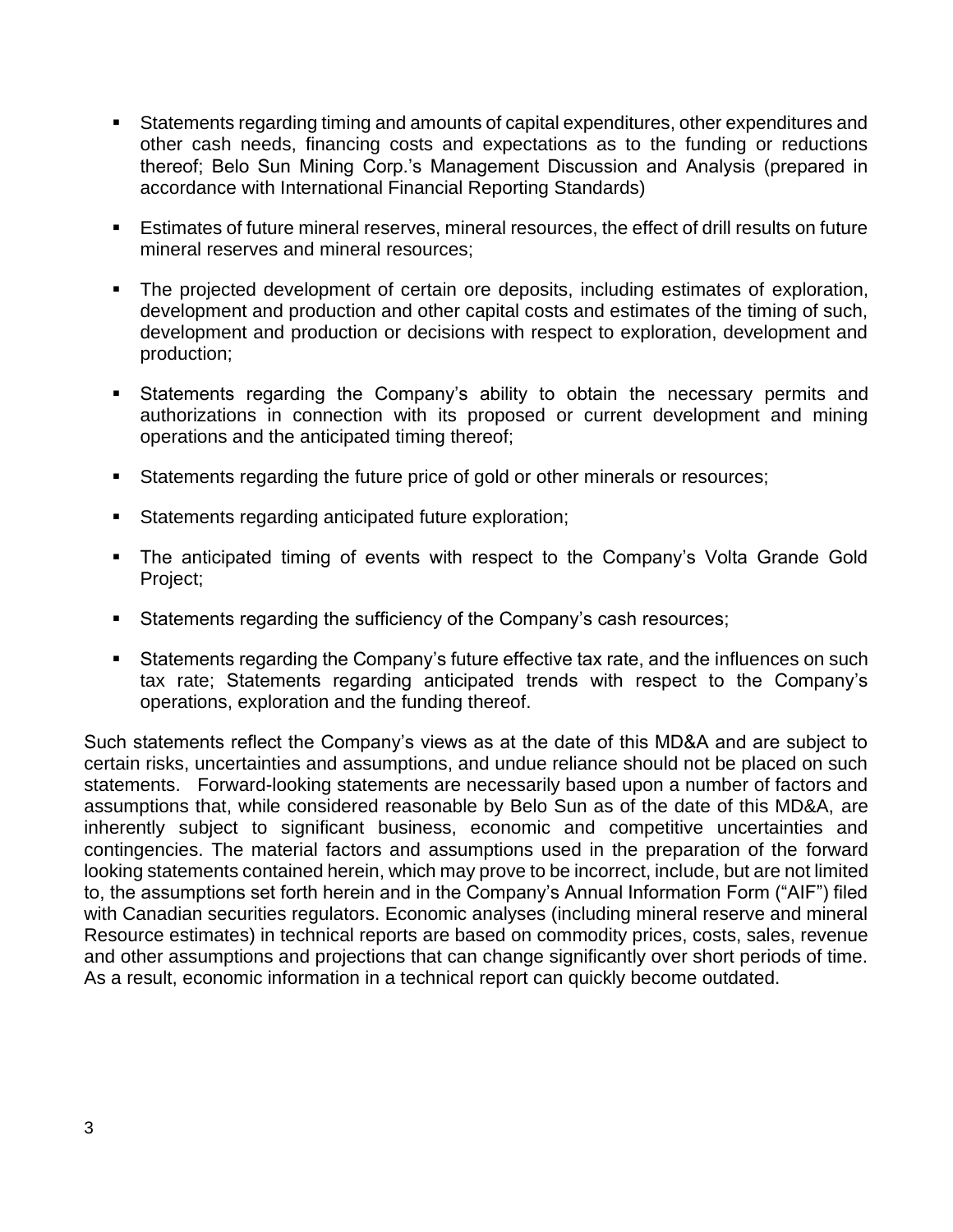- Statements regarding timing and amounts of capital expenditures, other expenditures and other cash needs, financing costs and expectations as to the funding or reductions thereof; Belo Sun Mining Corp.'s Management Discussion and Analysis (prepared in accordance with International Financial Reporting Standards)
- **E** stimates of future mineral reserves, mineral resources, the effect of drill results on future mineral reserves and mineral resources;
- The projected development of certain ore deposits, including estimates of exploration, development and production and other capital costs and estimates of the timing of such, development and production or decisions with respect to exploration, development and production;
- **EXEL Statements regarding the Company's ability to obtain the necessary permits and** authorizations in connection with its proposed or current development and mining operations and the anticipated timing thereof;
- Statements regarding the future price of gold or other minerals or resources;
- Statements regarding anticipated future exploration;
- The anticipated timing of events with respect to the Company's Volta Grande Gold Project;
- Statements regarding the sufficiency of the Company's cash resources;
- Statements regarding the Company's future effective tax rate, and the influences on such tax rate; Statements regarding anticipated trends with respect to the Company's operations, exploration and the funding thereof.

Such statements reflect the Company's views as at the date of this MD&A and are subject to certain risks, uncertainties and assumptions, and undue reliance should not be placed on such statements. Forward-looking statements are necessarily based upon a number of factors and assumptions that, while considered reasonable by Belo Sun as of the date of this MD&A, are inherently subject to significant business, economic and competitive uncertainties and contingencies. The material factors and assumptions used in the preparation of the forward looking statements contained herein, which may prove to be incorrect, include, but are not limited to, the assumptions set forth herein and in the Company's Annual Information Form ("AIF") filed with Canadian securities regulators. Economic analyses (including mineral reserve and mineral Resource estimates) in technical reports are based on commodity prices, costs, sales, revenue and other assumptions and projections that can change significantly over short periods of time. As a result, economic information in a technical report can quickly become outdated.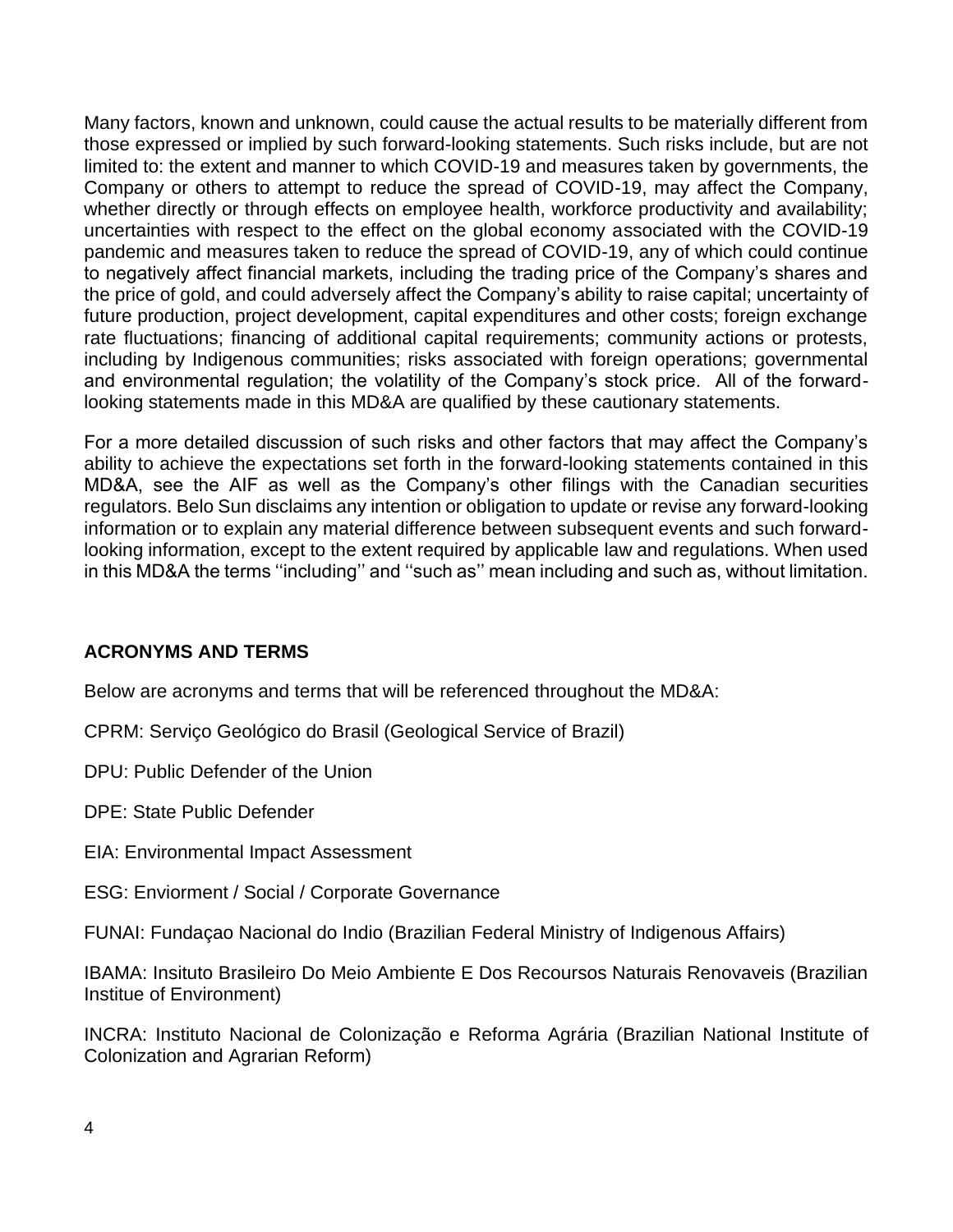Many factors, known and unknown, could cause the actual results to be materially different from those expressed or implied by such forward-looking statements. Such risks include, but are not limited to: the extent and manner to which COVID-19 and measures taken by governments, the Company or others to attempt to reduce the spread of COVID-19, may affect the Company, whether directly or through effects on employee health, workforce productivity and availability; uncertainties with respect to the effect on the global economy associated with the COVID-19 pandemic and measures taken to reduce the spread of COVID-19, any of which could continue to negatively affect financial markets, including the trading price of the Company's shares and the price of gold, and could adversely affect the Company's ability to raise capital; uncertainty of future production, project development, capital expenditures and other costs; foreign exchange rate fluctuations; financing of additional capital requirements; community actions or protests, including by Indigenous communities; risks associated with foreign operations; governmental and environmental regulation; the volatility of the Company's stock price. All of the forwardlooking statements made in this MD&A are qualified by these cautionary statements.

For a more detailed discussion of such risks and other factors that may affect the Company's ability to achieve the expectations set forth in the forward-looking statements contained in this MD&A, see the AIF as well as the Company's other filings with the Canadian securities regulators. Belo Sun disclaims any intention or obligation to update or revise any forward-looking information or to explain any material difference between subsequent events and such forwardlooking information, except to the extent required by applicable law and regulations. When used in this MD&A the terms ''including'' and ''such as'' mean including and such as, without limitation.

# **ACRONYMS AND TERMS**

Below are acronyms and terms that will be referenced throughout the MD&A:

CPRM: Serviço Geológico do Brasil (Geological Service of Brazil)

DPU: Public Defender of the Union

DPE: State Public Defender

EIA: Environmental Impact Assessment

ESG: Enviorment / Social / Corporate Governance

FUNAI: Fundaçao Nacional do Indio (Brazilian Federal Ministry of Indigenous Affairs)

IBAMA: Insituto Brasileiro Do Meio Ambiente E Dos Recoursos Naturais Renovaveis (Brazilian Institue of Environment)

INCRA: Instituto Nacional de Colonização e Reforma Agrária (Brazilian National Institute of Colonization and Agrarian Reform)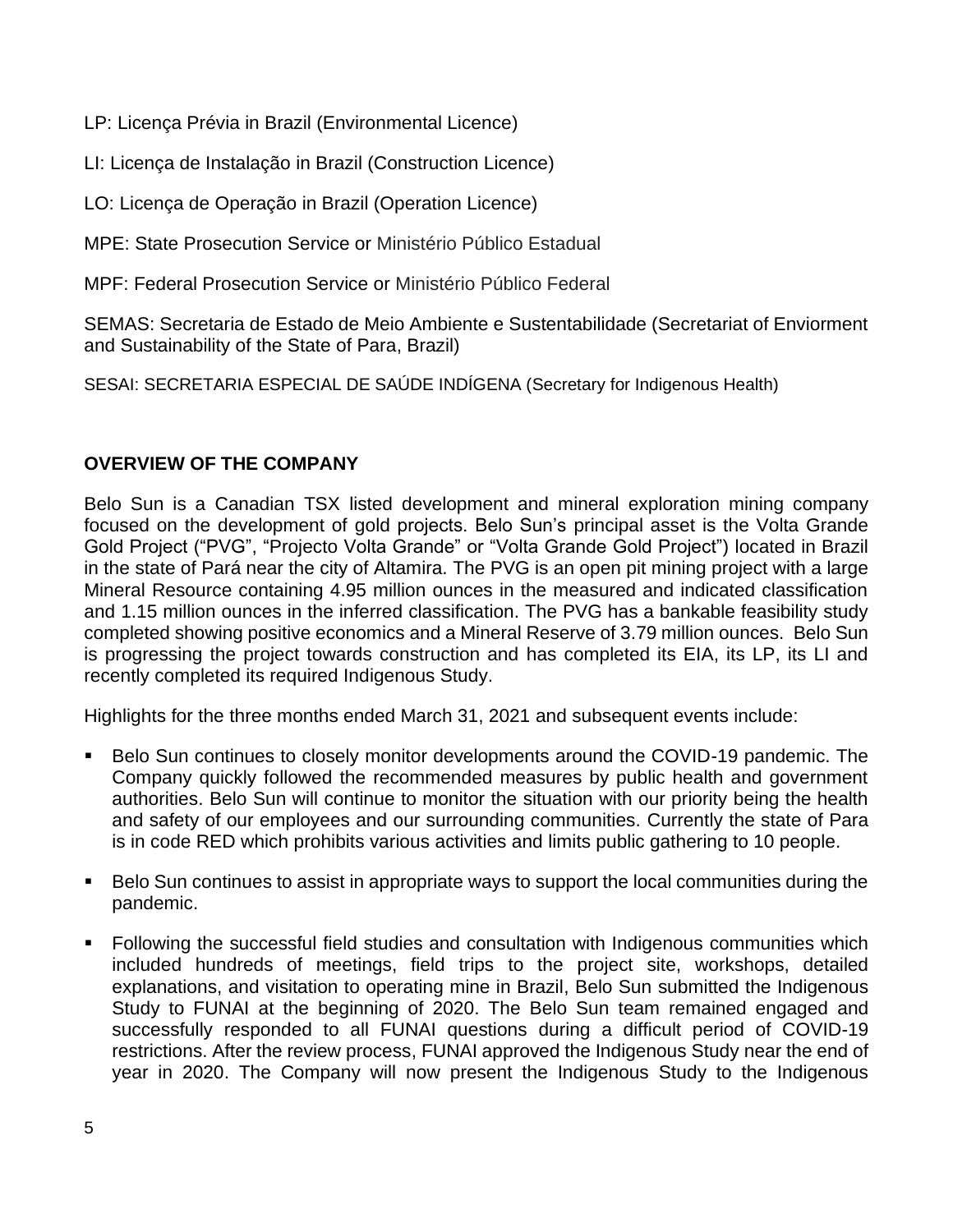LP: Licença Prévia in Brazil (Environmental Licence)

LI: Licença de Instalação in Brazil (Construction Licence)

LO: Licença de Operação in Brazil (Operation Licence)

MPE: State Prosecution Service or Ministério Público Estadual

MPF: Federal Prosecution Service or Ministério Público Federal

SEMAS: Secretaria de Estado de Meio Ambiente e Sustentabilidade (Secretariat of Enviorment and Sustainability of the State of Para, Brazil)

SESAI: SECRETARIA ESPECIAL DE SAÚDE INDÍGENA (Secretary for Indigenous Health)

## **OVERVIEW OF THE COMPANY**

Belo Sun is a Canadian TSX listed development and mineral exploration mining company focused on the development of gold projects. Belo Sun's principal asset is the Volta Grande Gold Project ("PVG", "Projecto Volta Grande" or "Volta Grande Gold Project") located in Brazil in the state of Pará near the city of Altamira. The PVG is an open pit mining project with a large Mineral Resource containing 4.95 million ounces in the measured and indicated classification and 1.15 million ounces in the inferred classification. The PVG has a bankable feasibility study completed showing positive economics and a Mineral Reserve of 3.79 million ounces. Belo Sun is progressing the project towards construction and has completed its EIA, its LP, its LI and recently completed its required Indigenous Study.

Highlights for the three months ended March 31, 2021 and subsequent events include:

- Belo Sun continues to closely monitor developments around the COVID-19 pandemic. The Company quickly followed the recommended measures by public health and government authorities. Belo Sun will continue to monitor the situation with our priority being the health and safety of our employees and our surrounding communities. Currently the state of Para is in code RED which prohibits various activities and limits public gathering to 10 people.
- Belo Sun continues to assist in appropriate ways to support the local communities during the pandemic.
- Following the successful field studies and consultation with Indigenous communities which included hundreds of meetings, field trips to the project site, workshops, detailed explanations, and visitation to operating mine in Brazil, Belo Sun submitted the Indigenous Study to FUNAI at the beginning of 2020. The Belo Sun team remained engaged and successfully responded to all FUNAI questions during a difficult period of COVID-19 restrictions. After the review process, FUNAI approved the Indigenous Study near the end of year in 2020. The Company will now present the Indigenous Study to the Indigenous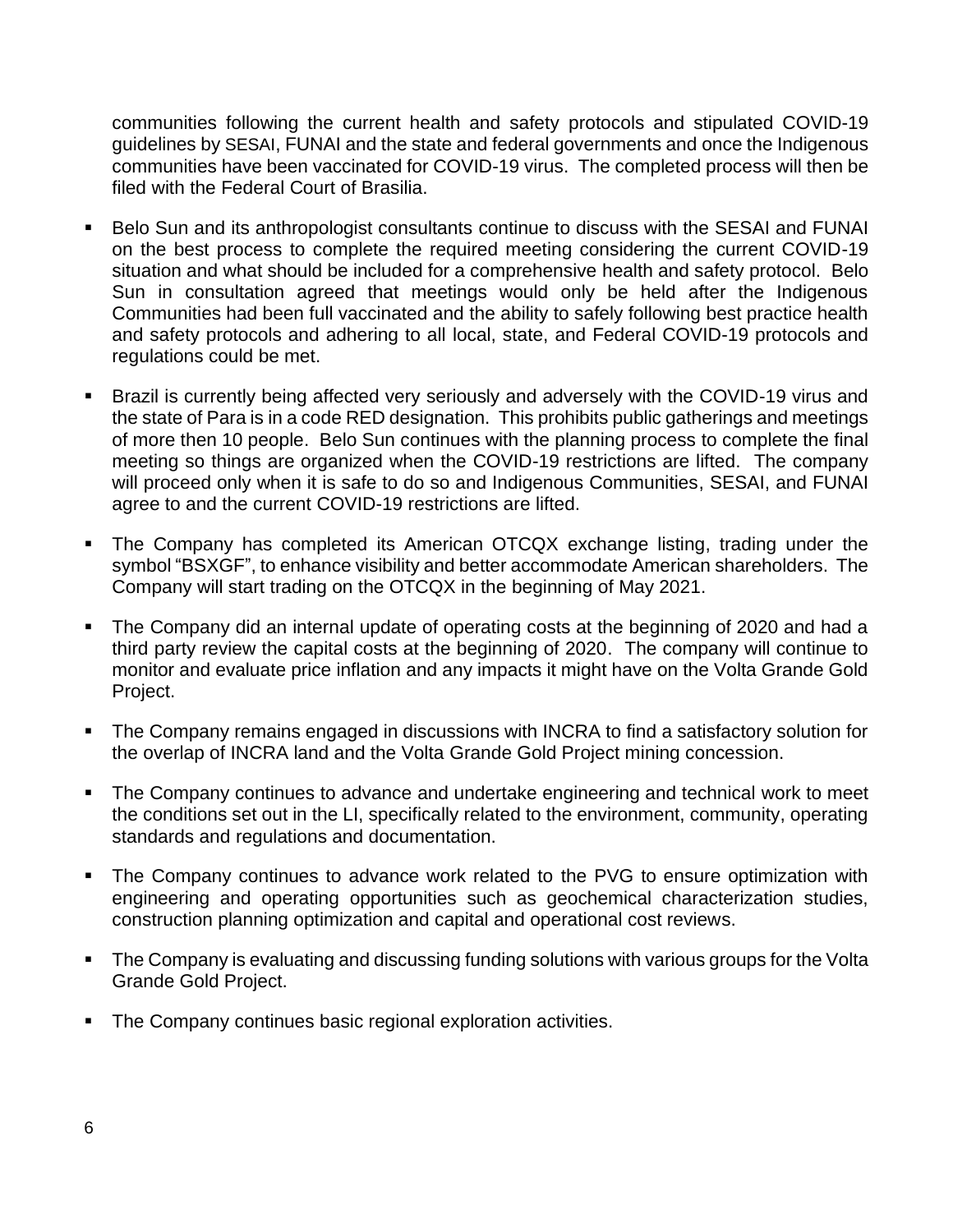communities following the current health and safety protocols and stipulated COVID-19 guidelines by SESAI, FUNAI and the state and federal governments and once the Indigenous communities have been vaccinated for COVID-19 virus. The completed process will then be filed with the Federal Court of Brasilia.

- Belo Sun and its anthropologist consultants continue to discuss with the SESAI and FUNAI on the best process to complete the required meeting considering the current COVID-19 situation and what should be included for a comprehensive health and safety protocol. Belo Sun in consultation agreed that meetings would only be held after the Indigenous Communities had been full vaccinated and the ability to safely following best practice health and safety protocols and adhering to all local, state, and Federal COVID-19 protocols and regulations could be met.
- **EXTERGH** is currently being affected very seriously and adversely with the COVID-19 virus and the state of Para is in a code RED designation. This prohibits public gatherings and meetings of more then 10 people. Belo Sun continues with the planning process to complete the final meeting so things are organized when the COVID-19 restrictions are lifted. The company will proceed only when it is safe to do so and Indigenous Communities, SESAI, and FUNAI agree to and the current COVID-19 restrictions are lifted.
- The Company has completed its American OTCQX exchange listing, trading under the symbol "BSXGF", to enhance visibility and better accommodate American shareholders. The Company will start trading on the OTCQX in the beginning of May 2021.
- The Company did an internal update of operating costs at the beginning of 2020 and had a third party review the capital costs at the beginning of 2020. The company will continue to monitor and evaluate price inflation and any impacts it might have on the Volta Grande Gold Project.
- The Company remains engaged in discussions with INCRA to find a satisfactory solution for the overlap of INCRA land and the Volta Grande Gold Project mining concession.
- The Company continues to advance and undertake engineering and technical work to meet the conditions set out in the LI, specifically related to the environment, community, operating standards and regulations and documentation.
- The Company continues to advance work related to the PVG to ensure optimization with engineering and operating opportunities such as geochemical characterization studies, construction planning optimization and capital and operational cost reviews.
- The Company is evaluating and discussing funding solutions with various groups for the Volta Grande Gold Project.
- The Company continues basic regional exploration activities.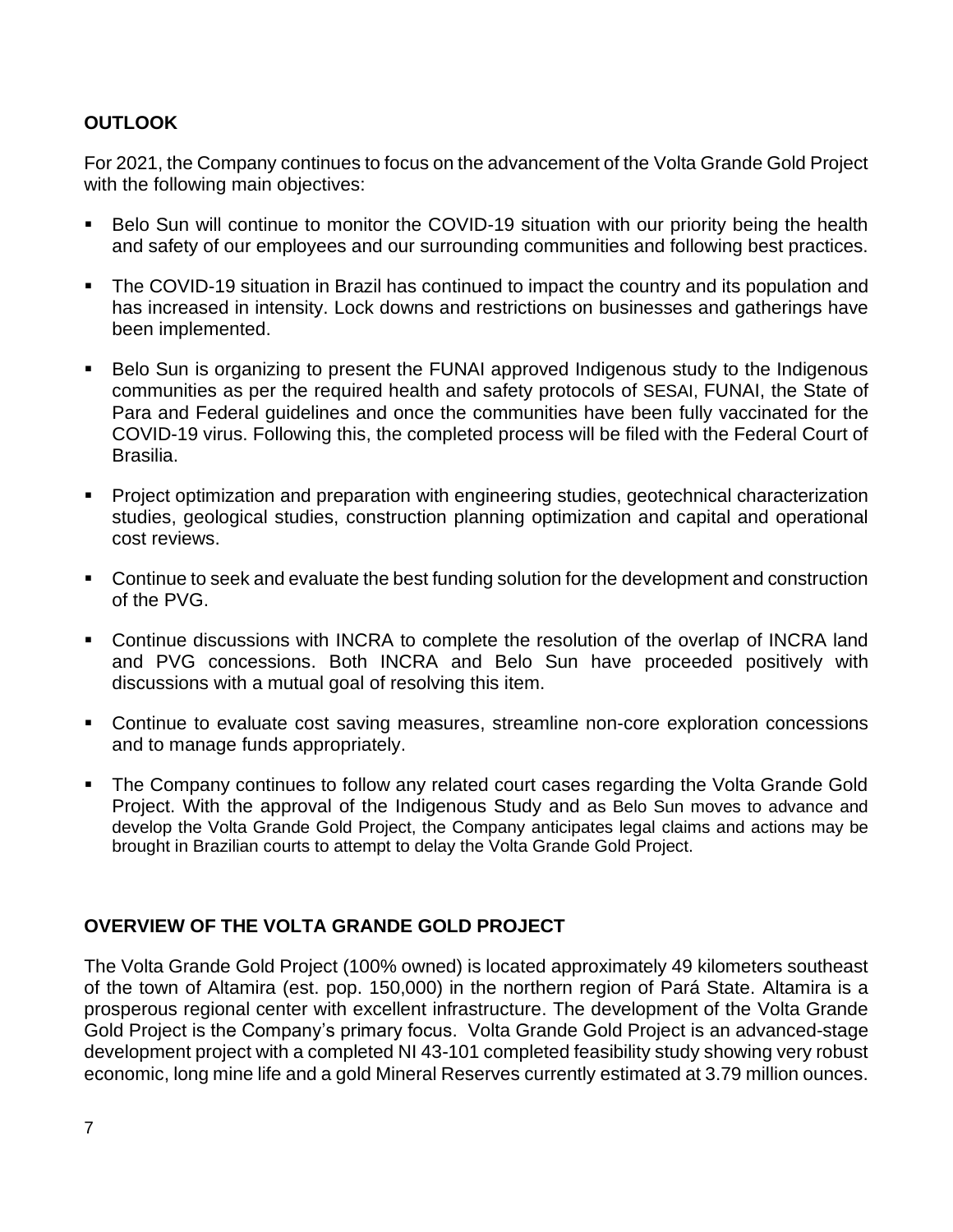# **OUTLOOK**

For 2021, the Company continues to focus on the advancement of the Volta Grande Gold Project with the following main objectives:

- Belo Sun will continue to monitor the COVID-19 situation with our priority being the health and safety of our employees and our surrounding communities and following best practices.
- The COVID-19 situation in Brazil has continued to impact the country and its population and has increased in intensity. Lock downs and restrictions on businesses and gatherings have been implemented.
- Belo Sun is organizing to present the FUNAI approved Indigenous study to the Indigenous communities as per the required health and safety protocols of SESAI, FUNAI, the State of Para and Federal guidelines and once the communities have been fully vaccinated for the COVID-19 virus. Following this, the completed process will be filed with the Federal Court of Brasilia.
- **•** Project optimization and preparation with engineering studies, geotechnical characterization studies, geological studies, construction planning optimization and capital and operational cost reviews.
- Continue to seek and evaluate the best funding solution for the development and construction of the PVG.
- Continue discussions with INCRA to complete the resolution of the overlap of INCRA land and PVG concessions. Both INCRA and Belo Sun have proceeded positively with discussions with a mutual goal of resolving this item.
- Continue to evaluate cost saving measures, streamline non-core exploration concessions and to manage funds appropriately.
- The Company continues to follow any related court cases regarding the Volta Grande Gold Project. With the approval of the Indigenous Study and as Belo Sun moves to advance and develop the Volta Grande Gold Project, the Company anticipates legal claims and actions may be brought in Brazilian courts to attempt to delay the Volta Grande Gold Project.

# **OVERVIEW OF THE VOLTA GRANDE GOLD PROJECT**

The Volta Grande Gold Project (100% owned) is located approximately 49 kilometers southeast of the town of Altamira (est. pop. 150,000) in the northern region of Pará State. Altamira is a prosperous regional center with excellent infrastructure. The development of the Volta Grande Gold Project is the Company's primary focus. Volta Grande Gold Project is an advanced-stage development project with a completed NI 43-101 completed feasibility study showing very robust economic, long mine life and a gold Mineral Reserves currently estimated at 3.79 million ounces.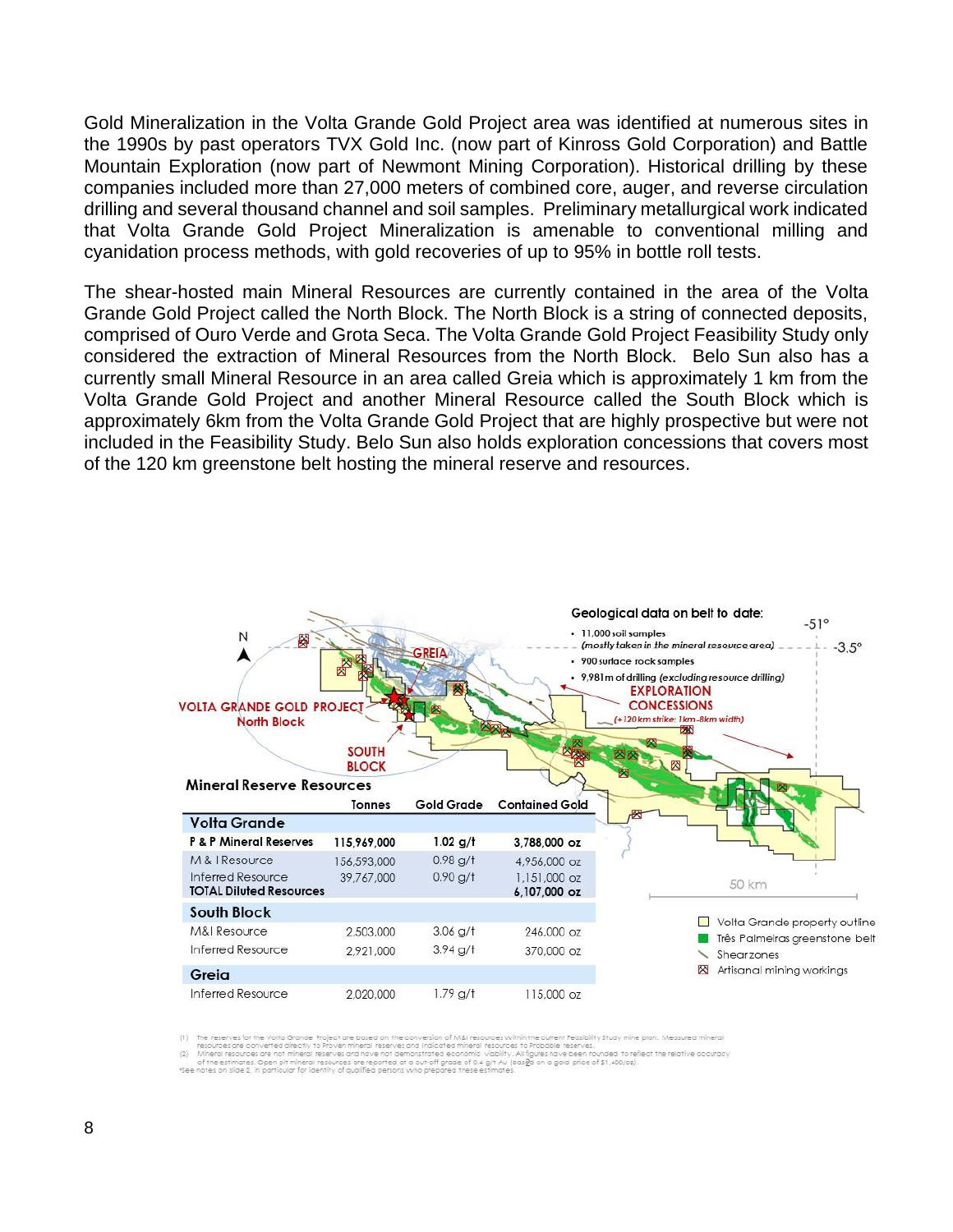Gold Mineralization in the Volta Grande Gold Project area was identified at numerous sites in the 1990s by past operators TVX Gold Inc. (now part of Kinross Gold Corporation) and Battle Mountain Exploration (now part of Newmont Mining Corporation). Historical drilling by these companies included more than 27,000 meters of combined core, auger, and reverse circulation drilling and several thousand channel and soil samples. Preliminary metallurgical work indicated that Volta Grande Gold Project Mineralization is amenable to conventional milling and cyanidation process methods, with gold recoveries of up to 95% in bottle roll tests.

The shear-hosted main Mineral Resources are currently contained in the area of the Volta Grande Gold Project called the North Block. The North Block is a string of connected deposits, comprised of Ouro Verde and Grota Seca. The Volta Grande Gold Project Feasibility Study only considered the extraction of Mineral Resources from the North Block. Belo Sun also has a currently small Mineral Resource in an area called Greia which is approximately 1 km from the Volta Grande Gold Project and another Mineral Resource called the South Block which is approximately 6km from the Volta Grande Gold Project that are highly prospective but were not included in the Feasibility Study. Belo Sun also holds exploration concessions that covers most of the 120 km greenstone belt hosting the mineral reserve and resources.



.<br>The reserves for the Volta Grande Project are based on the conversion of M&I resources within the current Feasibility Study mine plan. Measured mineral (1)<br>(2) Mineral resources are not mineral reserves and nave not demo

of the estimates. Open pit mineral resources are reported at a cut-off grade of 0.4 g/t Au (basga on a gold price of \$1,400/oz).<br>\*See notes on slide 2, in particular for identity of qualified persons who prepared these est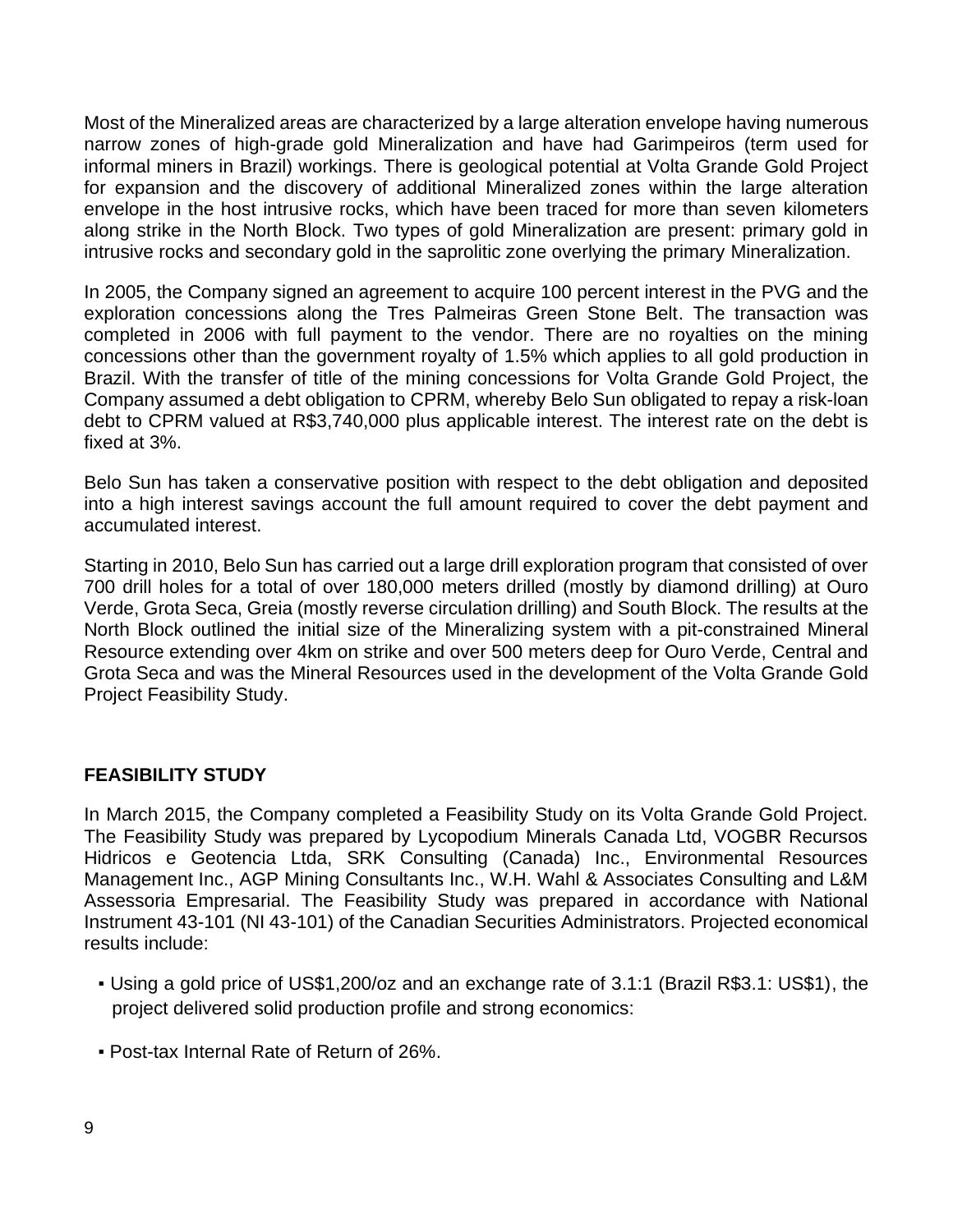Most of the Mineralized areas are characterized by a large alteration envelope having numerous narrow zones of high-grade gold Mineralization and have had Garimpeiros (term used for informal miners in Brazil) workings. There is geological potential at Volta Grande Gold Project for expansion and the discovery of additional Mineralized zones within the large alteration envelope in the host intrusive rocks, which have been traced for more than seven kilometers along strike in the North Block. Two types of gold Mineralization are present: primary gold in intrusive rocks and secondary gold in the saprolitic zone overlying the primary Mineralization.

In 2005, the Company signed an agreement to acquire 100 percent interest in the PVG and the exploration concessions along the Tres Palmeiras Green Stone Belt. The transaction was completed in 2006 with full payment to the vendor. There are no royalties on the mining concessions other than the government royalty of 1.5% which applies to all gold production in Brazil. With the transfer of title of the mining concessions for Volta Grande Gold Project, the Company assumed a debt obligation to CPRM, whereby Belo Sun obligated to repay a risk-loan debt to CPRM valued at R\$3,740,000 plus applicable interest. The interest rate on the debt is fixed at 3%.

Belo Sun has taken a conservative position with respect to the debt obligation and deposited into a high interest savings account the full amount required to cover the debt payment and accumulated interest.

Starting in 2010, Belo Sun has carried out a large drill exploration program that consisted of over 700 drill holes for a total of over 180,000 meters drilled (mostly by diamond drilling) at Ouro Verde, Grota Seca, Greia (mostly reverse circulation drilling) and South Block. The results at the North Block outlined the initial size of the Mineralizing system with a pit-constrained Mineral Resource extending over 4km on strike and over 500 meters deep for Ouro Verde, Central and Grota Seca and was the Mineral Resources used in the development of the Volta Grande Gold Project Feasibility Study.

## **FEASIBILITY STUDY**

In March 2015, the Company completed a Feasibility Study on its Volta Grande Gold Project. The Feasibility Study was prepared by Lycopodium Minerals Canada Ltd, VOGBR Recursos Hidricos e Geotencia Ltda, SRK Consulting (Canada) Inc., Environmental Resources Management Inc., AGP Mining Consultants Inc., W.H. Wahl & Associates Consulting and L&M Assessoria Empresarial. The Feasibility Study was prepared in accordance with National Instrument 43-101 (NI 43-101) of the Canadian Securities Administrators. Projected economical results include:

- Using a gold price of US\$1,200/oz and an exchange rate of 3.1:1 (Brazil R\$3.1: US\$1), the project delivered solid production profile and strong economics:
- Post-tax Internal Rate of Return of 26%.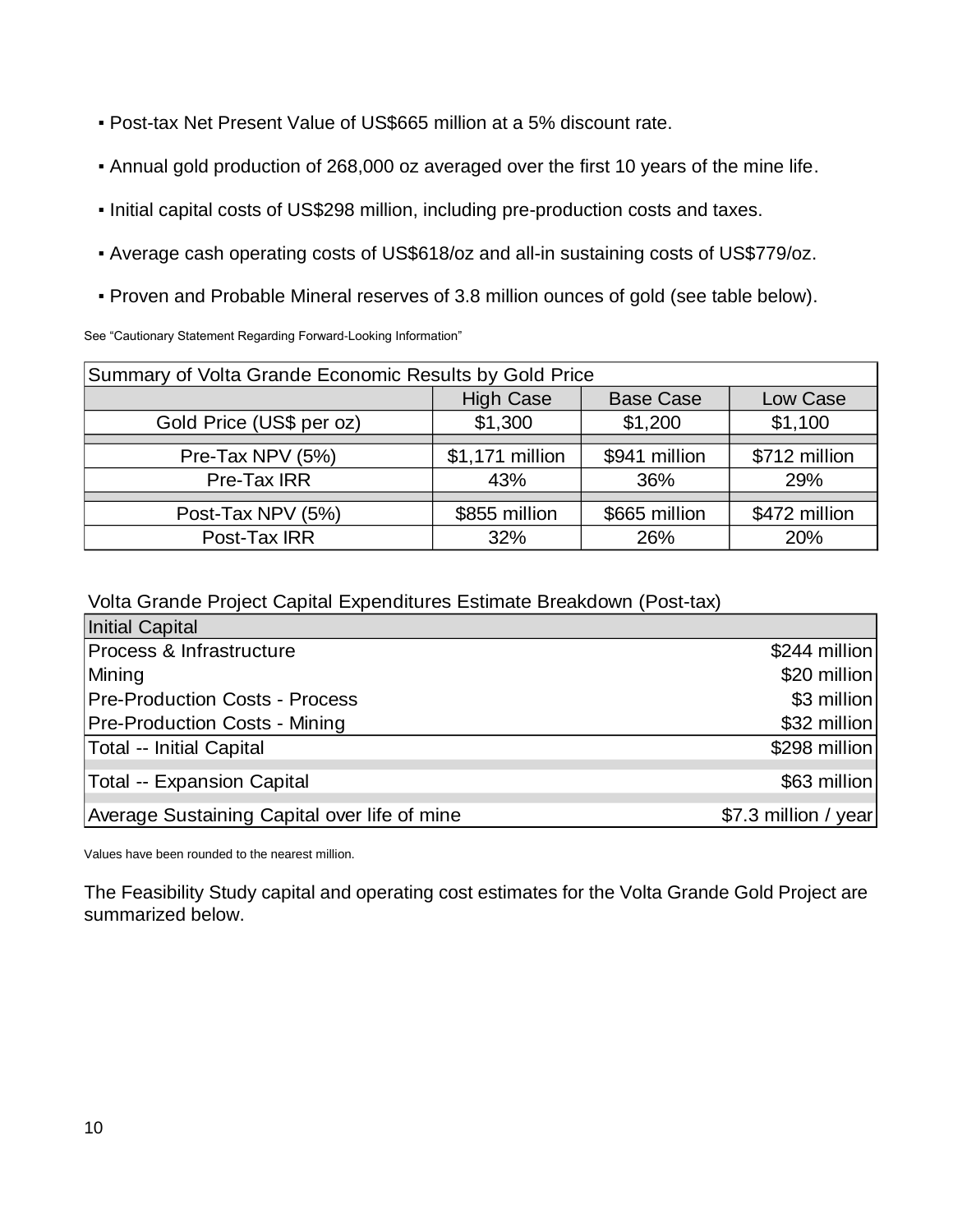- Post-tax Net Present Value of US\$665 million at a 5% discount rate.
- Annual gold production of 268,000 oz averaged over the first 10 years of the mine life.
- Initial capital costs of US\$298 million, including pre-production costs and taxes.
- Average cash operating costs of US\$618/oz and all-in sustaining costs of US\$779/oz.
- Proven and Probable Mineral reserves of 3.8 million ounces of gold (see table below).

See "Cautionary Statement Regarding Forward-Looking Information"

| Summary of Volta Grande Economic Results by Gold Price |                 |               |               |  |  |  |
|--------------------------------------------------------|-----------------|---------------|---------------|--|--|--|
| <b>High Case</b><br><b>Base Case</b><br>Low Case       |                 |               |               |  |  |  |
| Gold Price (US\$ per oz)                               | \$1,300         | \$1,200       | \$1,100       |  |  |  |
|                                                        |                 |               |               |  |  |  |
| Pre-Tax NPV (5%)                                       | \$1,171 million | \$941 million | \$712 million |  |  |  |
| Pre-Tax IRR                                            | 43%             | 36%           | 29%           |  |  |  |
|                                                        |                 |               |               |  |  |  |
| Post-Tax NPV (5%)                                      | \$855 million   | \$665 million | \$472 million |  |  |  |
| Post-Tax IRR                                           | 32%             | 26%           | 20%           |  |  |  |

Volta Grande Project Capital Expenditures Estimate Breakdown (Post-tax)

| <b>Initial Capital</b>                       |                      |
|----------------------------------------------|----------------------|
| Process & Infrastructure                     | \$244 million        |
| Mining                                       | \$20 million         |
| <b>Pre-Production Costs - Process</b>        | \$3 million          |
| <b>Pre-Production Costs - Mining</b>         | \$32 million         |
| Total -- Initial Capital                     | \$298 million        |
| Total -- Expansion Capital                   | \$63 million         |
| Average Sustaining Capital over life of mine | \$7.3 million / year |

Values have been rounded to the nearest million.

The Feasibility Study capital and operating cost estimates for the Volta Grande Gold Project are summarized below.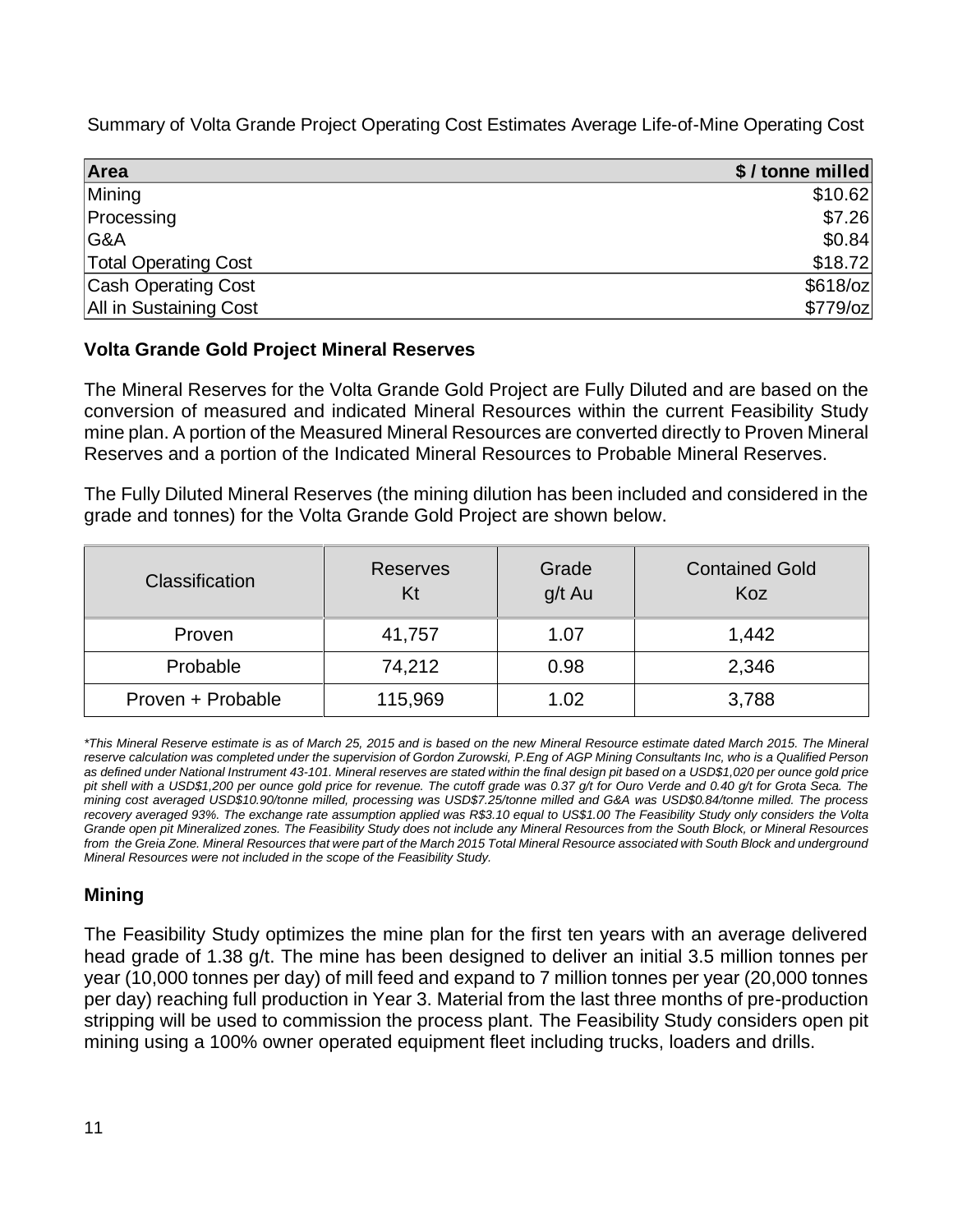Summary of Volta Grande Project Operating Cost Estimates Average Life-of-Mine Operating Cost

| Area                        | \$/tonne milled |
|-----------------------------|-----------------|
| Mining                      | \$10.62         |
| Processing                  | \$7.26          |
| G&A                         | \$0.84          |
| <b>Total Operating Cost</b> | \$18.72         |
| <b>Cash Operating Cost</b>  | $$618$ /oz      |
| All in Sustaining Cost      | $$779$ /oz      |

# **Volta Grande Gold Project Mineral Reserves**

The Mineral Reserves for the Volta Grande Gold Project are Fully Diluted and are based on the conversion of measured and indicated Mineral Resources within the current Feasibility Study mine plan. A portion of the Measured Mineral Resources are converted directly to Proven Mineral Reserves and a portion of the Indicated Mineral Resources to Probable Mineral Reserves.

The Fully Diluted Mineral Reserves (the mining dilution has been included and considered in the grade and tonnes) for the Volta Grande Gold Project are shown below.

| <b>Classification</b> | <b>Reserves</b><br>Kt | Grade<br>g/t Au | <b>Contained Gold</b><br>Koz |
|-----------------------|-----------------------|-----------------|------------------------------|
| Proven                | 41,757                | 1.07            | 1,442                        |
| Probable              | 74,212                | 0.98            | 2,346                        |
| Proven + Probable     | 115,969               | 1.02            | 3,788                        |

*\*This Mineral Reserve estimate is as of March 25, 2015 and is based on the new Mineral Resource estimate dated March 2015. The Mineral reserve calculation was completed under the supervision of Gordon Zurowski, P.Eng of AGP Mining Consultants Inc, who is a Qualified Person as defined under National Instrument 43-101. Mineral reserves are stated within the final design pit based on a USD\$1,020 per ounce gold price pit shell with a USD\$1,200 per ounce gold price for revenue. The cutoff grade was 0.37 g/t for Ouro Verde and 0.40 g/t for Grota Seca. The mining cost averaged USD\$10.90/tonne milled, processing was USD\$7.25/tonne milled and G&A was USD\$0.84/tonne milled. The process recovery averaged 93%. The exchange rate assumption applied was R\$3.10 equal to US\$1.00 The Feasibility Study only considers the Volta Grande open pit Mineralized zones. The Feasibility Study does not include any Mineral Resources from the South Block, or Mineral Resources from the Greia Zone. Mineral Resources that were part of the March 2015 Total Mineral Resource associated with South Block and underground Mineral Resources were not included in the scope of the Feasibility Study.* 

# **Mining**

The Feasibility Study optimizes the mine plan for the first ten years with an average delivered head grade of 1.38 g/t. The mine has been designed to deliver an initial 3.5 million tonnes per year (10,000 tonnes per day) of mill feed and expand to 7 million tonnes per year (20,000 tonnes per day) reaching full production in Year 3. Material from the last three months of pre-production stripping will be used to commission the process plant. The Feasibility Study considers open pit mining using a 100% owner operated equipment fleet including trucks, loaders and drills.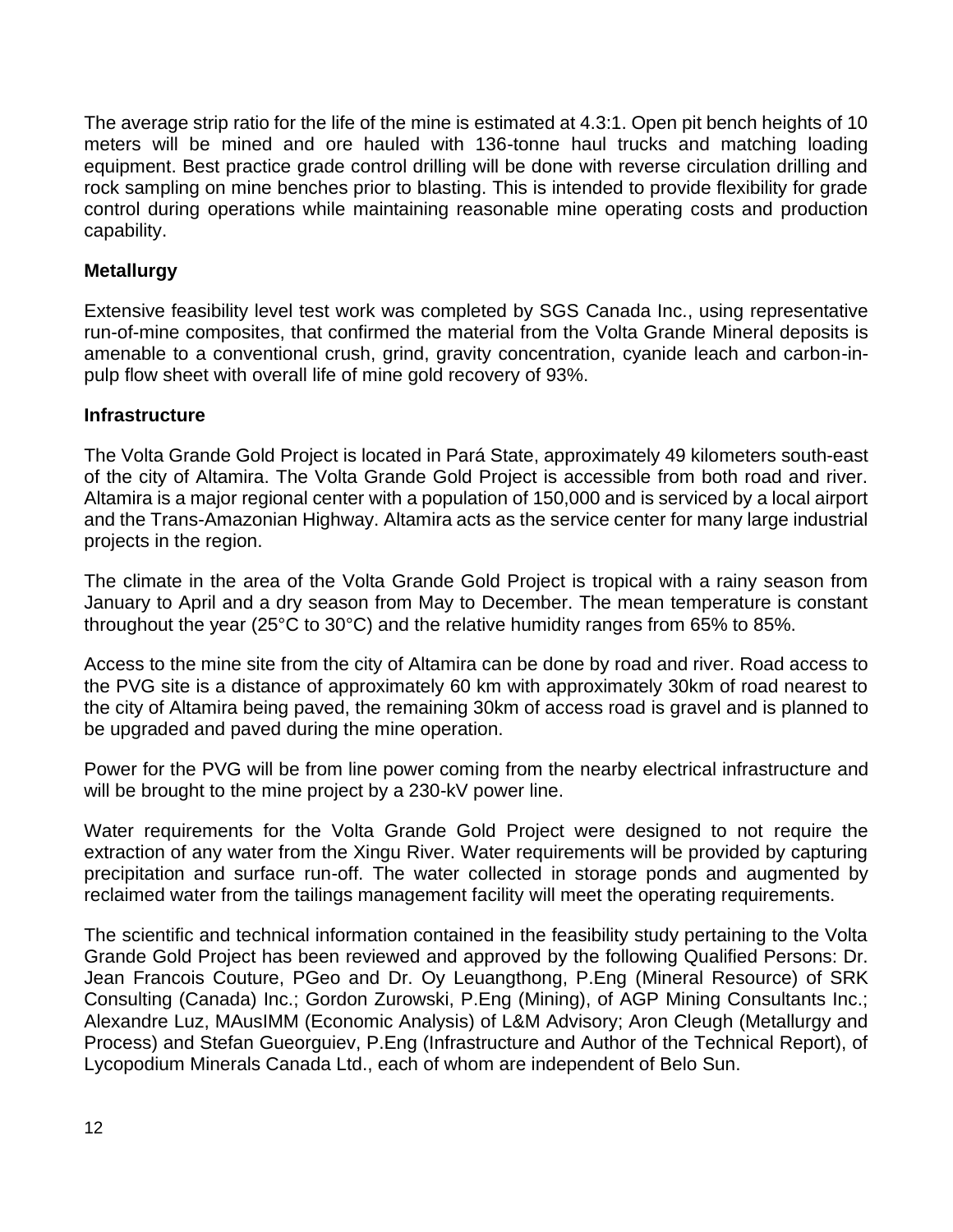The average strip ratio for the life of the mine is estimated at 4.3:1. Open pit bench heights of 10 meters will be mined and ore hauled with 136-tonne haul trucks and matching loading equipment. Best practice grade control drilling will be done with reverse circulation drilling and rock sampling on mine benches prior to blasting. This is intended to provide flexibility for grade control during operations while maintaining reasonable mine operating costs and production capability.

## **Metallurgy**

Extensive feasibility level test work was completed by SGS Canada Inc., using representative run-of-mine composites, that confirmed the material from the Volta Grande Mineral deposits is amenable to a conventional crush, grind, gravity concentration, cyanide leach and carbon-inpulp flow sheet with overall life of mine gold recovery of 93%.

## **Infrastructure**

The Volta Grande Gold Project is located in Pará State, approximately 49 kilometers south-east of the city of Altamira. The Volta Grande Gold Project is accessible from both road and river. Altamira is a major regional center with a population of 150,000 and is serviced by a local airport and the Trans-Amazonian Highway. Altamira acts as the service center for many large industrial projects in the region.

The climate in the area of the Volta Grande Gold Project is tropical with a rainy season from January to April and a dry season from May to December. The mean temperature is constant throughout the year (25°C to 30°C) and the relative humidity ranges from 65% to 85%.

Access to the mine site from the city of Altamira can be done by road and river. Road access to the PVG site is a distance of approximately 60 km with approximately 30km of road nearest to the city of Altamira being paved, the remaining 30km of access road is gravel and is planned to be upgraded and paved during the mine operation.

Power for the PVG will be from line power coming from the nearby electrical infrastructure and will be brought to the mine project by a 230-kV power line.

Water requirements for the Volta Grande Gold Project were designed to not require the extraction of any water from the Xingu River. Water requirements will be provided by capturing precipitation and surface run-off. The water collected in storage ponds and augmented by reclaimed water from the tailings management facility will meet the operating requirements.

The scientific and technical information contained in the feasibility study pertaining to the Volta Grande Gold Project has been reviewed and approved by the following Qualified Persons: Dr. Jean Francois Couture, PGeo and Dr. Oy Leuangthong, P.Eng (Mineral Resource) of SRK Consulting (Canada) Inc.; Gordon Zurowski, P.Eng (Mining), of AGP Mining Consultants Inc.; Alexandre Luz, MAusIMM (Economic Analysis) of L&M Advisory; Aron Cleugh (Metallurgy and Process) and Stefan Gueorguiev, P.Eng (Infrastructure and Author of the Technical Report), of Lycopodium Minerals Canada Ltd., each of whom are independent of Belo Sun.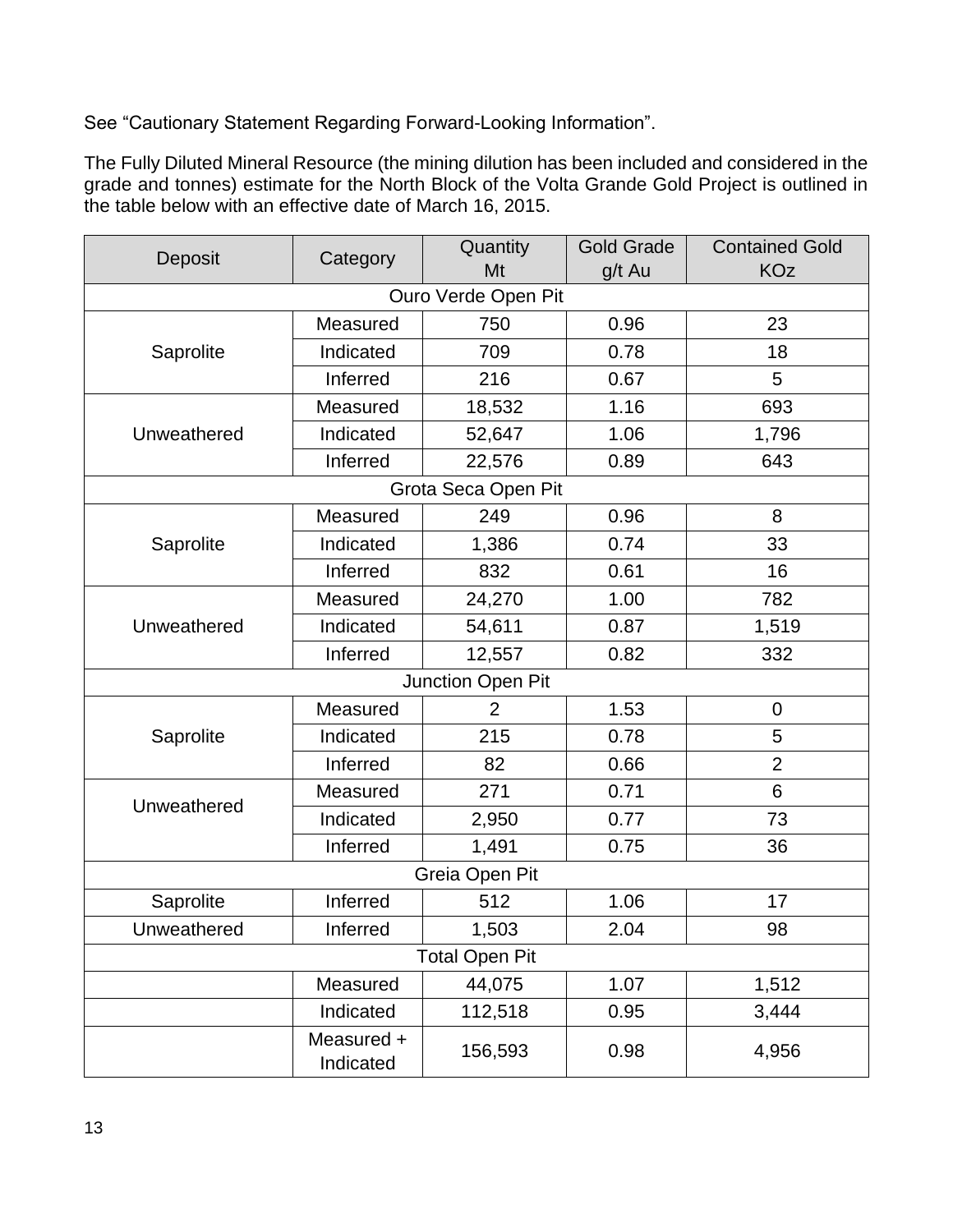See "Cautionary Statement Regarding Forward-Looking Information".

The Fully Diluted Mineral Resource (the mining dilution has been included and considered in the grade and tonnes) estimate for the North Block of the Volta Grande Gold Project is outlined in the table below with an effective date of March 16, 2015.

| Deposit     | Quantity                |                       | <b>Gold Grade</b> | <b>Contained Gold</b> |
|-------------|-------------------------|-----------------------|-------------------|-----------------------|
|             | Category                | Mt                    | g/t Au            | <b>KOz</b>            |
|             |                         | Ouro Verde Open Pit   |                   |                       |
|             | Measured                | 750                   | 0.96              | 23                    |
| Saprolite   | Indicated               | 709                   | 0.78              | 18                    |
|             | Inferred                | 216<br>0.67           |                   | 5                     |
|             | Measured                | 18,532                | 1.16              | 693                   |
| Unweathered | Indicated               | 52,647                | 1.06              | 1,796                 |
|             | Inferred                | 22,576                | 0.89              | 643                   |
|             |                         | Grota Seca Open Pit   |                   |                       |
|             | Measured                | 249                   | 0.96              | 8                     |
| Saprolite   | Indicated               | 1,386                 | 0.74              | 33                    |
|             | Inferred                | 832                   | 0.61              | 16                    |
|             | Measured<br>24,270      |                       | 1.00              | 782                   |
| Unweathered | Indicated               | 54,611                | 0.87              | 1,519                 |
|             | Inferred                | 12,557                | 0.82              | 332                   |
|             |                         | Junction Open Pit     |                   |                       |
|             | Measured                | $\overline{2}$        | 1.53              | $\mathbf 0$           |
| Saprolite   | Indicated               | 215                   | 0.78              | 5                     |
|             | Inferred                | 82                    | 0.66              | $\overline{2}$        |
| Unweathered | Measured                | 271                   | 0.71              | 6                     |
|             | Indicated               | 2,950                 | 0.77              | 73                    |
|             | Inferred                | 1,491                 | 0.75              | 36                    |
|             |                         | Greia Open Pit        |                   |                       |
| Saprolite   | Inferred                | 512                   | 1.06              | 17                    |
| Unweathered | Inferred                | 1,503                 | 2.04              | 98                    |
|             |                         | <b>Total Open Pit</b> |                   |                       |
|             | Measured                | 44,075                | 1.07              | 1,512                 |
|             | Indicated               | 112,518               | 0.95              | 3,444                 |
|             | Measured +<br>Indicated | 156,593               | 0.98              | 4,956                 |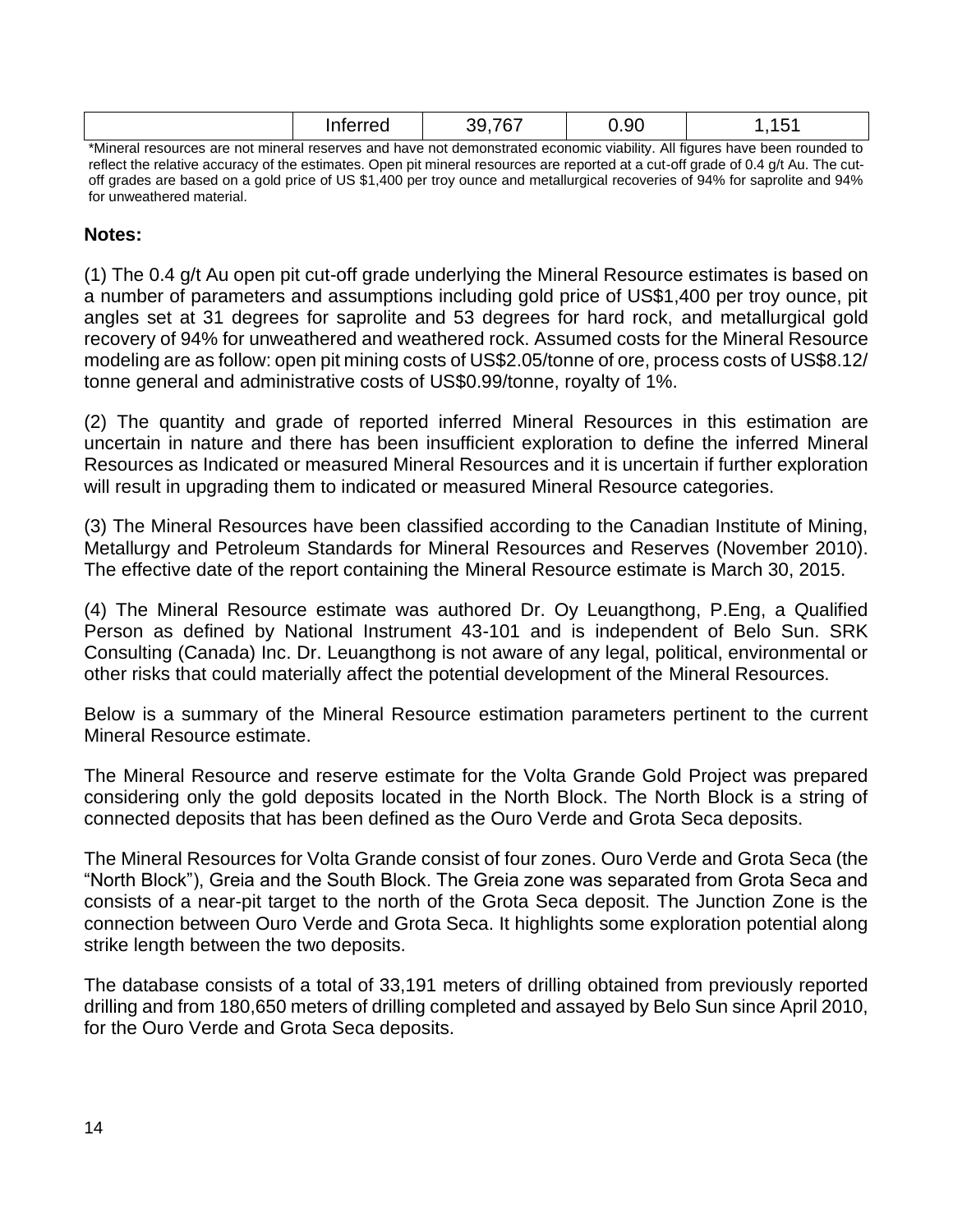|                                                                                            | Int∆rr∆d | -- | ጋ.9ር |                                  |
|--------------------------------------------------------------------------------------------|----------|----|------|----------------------------------|
| the throat resources are not mineral recepses and have not demonstrated economic viability |          |    |      | All figures have been rounded to |

\*Mineral resources are not mineral reserves and have not demonstrated economic viability. All figures have been rounded to reflect the relative accuracy of the estimates. Open pit mineral resources are reported at a cut-off grade of 0.4 g/t Au. The cutoff grades are based on a gold price of US \$1,400 per troy ounce and metallurgical recoveries of 94% for saprolite and 94% for unweathered material.

## **Notes:**

(1) The 0.4 g/t Au open pit cut-off grade underlying the Mineral Resource estimates is based on a number of parameters and assumptions including gold price of US\$1,400 per troy ounce, pit angles set at 31 degrees for saprolite and 53 degrees for hard rock, and metallurgical gold recovery of 94% for unweathered and weathered rock. Assumed costs for the Mineral Resource modeling are as follow: open pit mining costs of US\$2.05/tonne of ore, process costs of US\$8.12/ tonne general and administrative costs of US\$0.99/tonne, royalty of 1%.

(2) The quantity and grade of reported inferred Mineral Resources in this estimation are uncertain in nature and there has been insufficient exploration to define the inferred Mineral Resources as Indicated or measured Mineral Resources and it is uncertain if further exploration will result in upgrading them to indicated or measured Mineral Resource categories.

(3) The Mineral Resources have been classified according to the Canadian Institute of Mining, Metallurgy and Petroleum Standards for Mineral Resources and Reserves (November 2010). The effective date of the report containing the Mineral Resource estimate is March 30, 2015.

(4) The Mineral Resource estimate was authored Dr. Oy Leuangthong, P.Eng, a Qualified Person as defined by National Instrument 43-101 and is independent of Belo Sun. SRK Consulting (Canada) Inc. Dr. Leuangthong is not aware of any legal, political, environmental or other risks that could materially affect the potential development of the Mineral Resources.

Below is a summary of the Mineral Resource estimation parameters pertinent to the current Mineral Resource estimate.

The Mineral Resource and reserve estimate for the Volta Grande Gold Project was prepared considering only the gold deposits located in the North Block. The North Block is a string of connected deposits that has been defined as the Ouro Verde and Grota Seca deposits.

The Mineral Resources for Volta Grande consist of four zones. Ouro Verde and Grota Seca (the "North Block"), Greia and the South Block. The Greia zone was separated from Grota Seca and consists of a near-pit target to the north of the Grota Seca deposit. The Junction Zone is the connection between Ouro Verde and Grota Seca. It highlights some exploration potential along strike length between the two deposits.

The database consists of a total of 33,191 meters of drilling obtained from previously reported drilling and from 180,650 meters of drilling completed and assayed by Belo Sun since April 2010, for the Ouro Verde and Grota Seca deposits.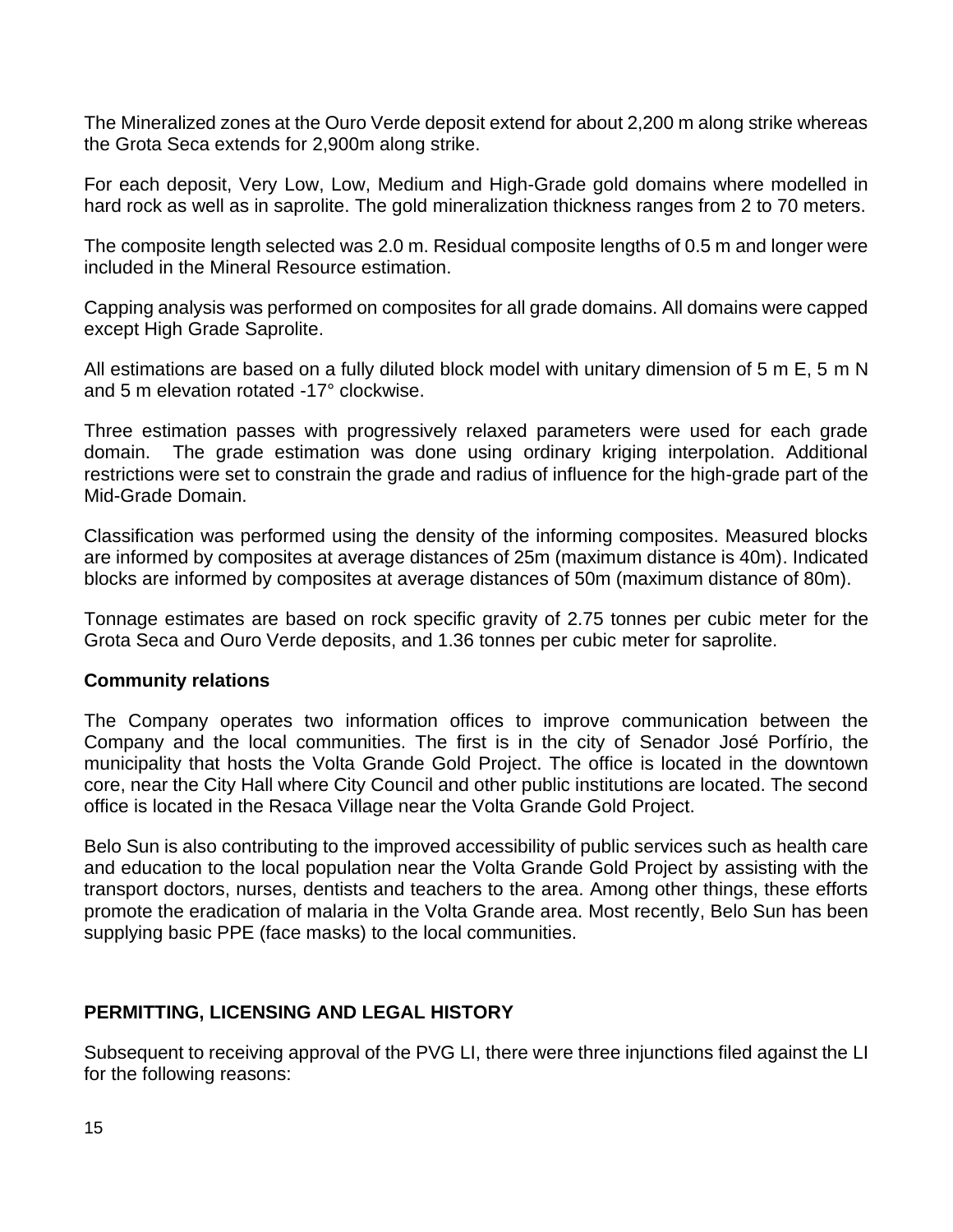The Mineralized zones at the Ouro Verde deposit extend for about 2,200 m along strike whereas the Grota Seca extends for 2,900m along strike.

For each deposit, Very Low, Low, Medium and High-Grade gold domains where modelled in hard rock as well as in saprolite. The gold mineralization thickness ranges from 2 to 70 meters.

The composite length selected was 2.0 m. Residual composite lengths of 0.5 m and longer were included in the Mineral Resource estimation.

Capping analysis was performed on composites for all grade domains. All domains were capped except High Grade Saprolite.

All estimations are based on a fully diluted block model with unitary dimension of 5 m E, 5 m N and 5 m elevation rotated -17° clockwise.

Three estimation passes with progressively relaxed parameters were used for each grade domain. The grade estimation was done using ordinary kriging interpolation. Additional restrictions were set to constrain the grade and radius of influence for the high-grade part of the Mid-Grade Domain.

Classification was performed using the density of the informing composites. Measured blocks are informed by composites at average distances of 25m (maximum distance is 40m). Indicated blocks are informed by composites at average distances of 50m (maximum distance of 80m).

Tonnage estimates are based on rock specific gravity of 2.75 tonnes per cubic meter for the Grota Seca and Ouro Verde deposits, and 1.36 tonnes per cubic meter for saprolite.

## **Community relations**

The Company operates two information offices to improve communication between the Company and the local communities. The first is in the city of Senador José Porfírio, the municipality that hosts the Volta Grande Gold Project. The office is located in the downtown core, near the City Hall where City Council and other public institutions are located. The second office is located in the Resaca Village near the Volta Grande Gold Project.

Belo Sun is also contributing to the improved accessibility of public services such as health care and education to the local population near the Volta Grande Gold Project by assisting with the transport doctors, nurses, dentists and teachers to the area. Among other things, these efforts promote the eradication of malaria in the Volta Grande area. Most recently, Belo Sun has been supplying basic PPE (face masks) to the local communities.

## **PERMITTING, LICENSING AND LEGAL HISTORY**

Subsequent to receiving approval of the PVG LI, there were three injunctions filed against the LI for the following reasons: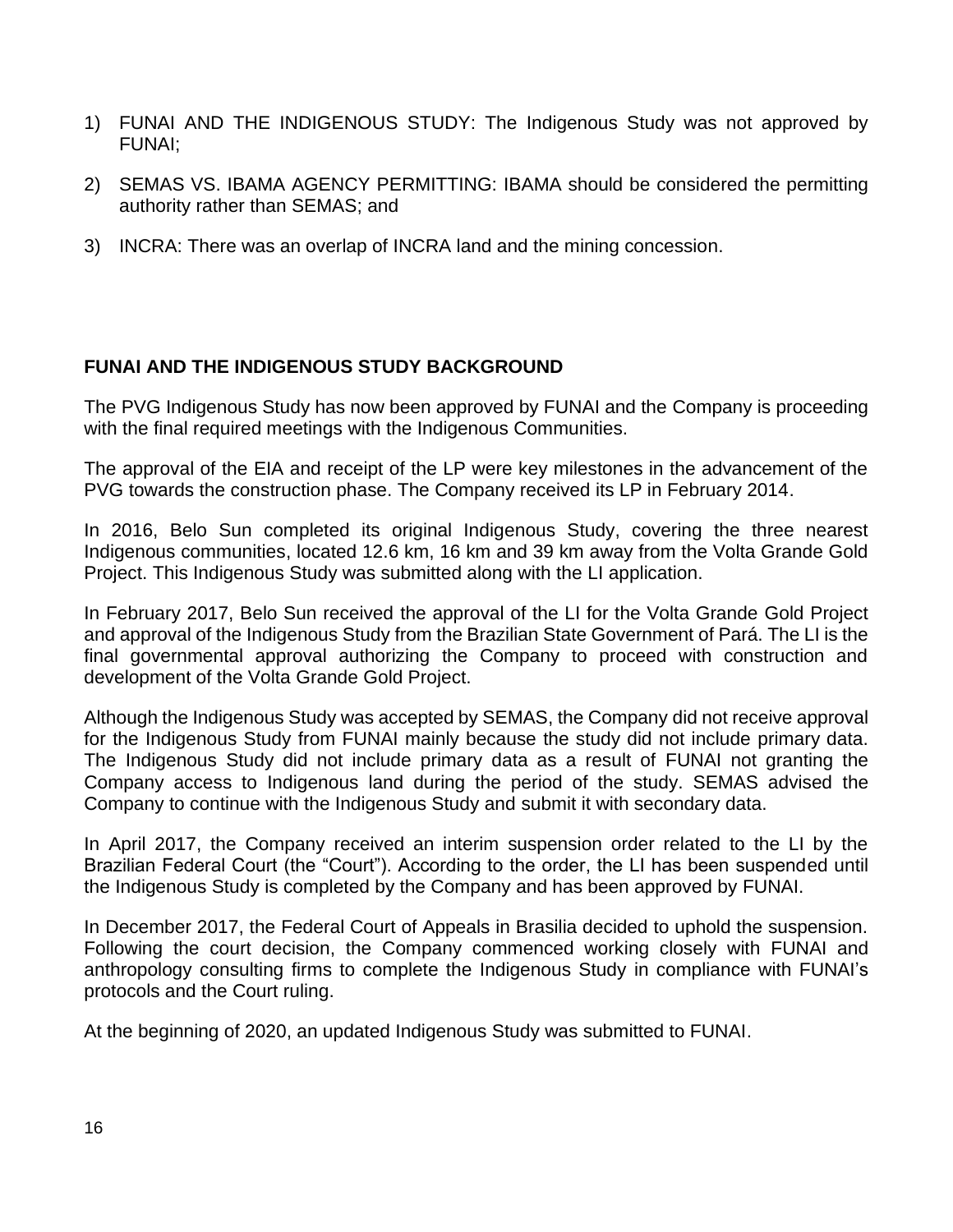- 1) FUNAI AND THE INDIGENOUS STUDY: The Indigenous Study was not approved by FUNAI;
- 2) SEMAS VS. IBAMA AGENCY PERMITTING: IBAMA should be considered the permitting authority rather than SEMAS; and
- 3) INCRA: There was an overlap of INCRA land and the mining concession.

# **FUNAI AND THE INDIGENOUS STUDY BACKGROUND**

The PVG Indigenous Study has now been approved by FUNAI and the Company is proceeding with the final required meetings with the Indigenous Communities.

The approval of the EIA and receipt of the LP were key milestones in the advancement of the PVG towards the construction phase. The Company received its LP in February 2014.

In 2016, Belo Sun completed its original Indigenous Study, covering the three nearest Indigenous communities, located 12.6 km, 16 km and 39 km away from the Volta Grande Gold Project. This Indigenous Study was submitted along with the LI application.

In February 2017, Belo Sun received the approval of the LI for the Volta Grande Gold Project and approval of the Indigenous Study from the Brazilian State Government of Pará. The LI is the final governmental approval authorizing the Company to proceed with construction and development of the Volta Grande Gold Project.

Although the Indigenous Study was accepted by SEMAS, the Company did not receive approval for the Indigenous Study from FUNAI mainly because the study did not include primary data. The Indigenous Study did not include primary data as a result of FUNAI not granting the Company access to Indigenous land during the period of the study. SEMAS advised the Company to continue with the Indigenous Study and submit it with secondary data.

In April 2017, the Company received an interim suspension order related to the LI by the Brazilian Federal Court (the "Court"). According to the order, the LI has been suspended until the Indigenous Study is completed by the Company and has been approved by FUNAI.

In December 2017, the Federal Court of Appeals in Brasilia decided to uphold the suspension. Following the court decision, the Company commenced working closely with FUNAI and anthropology consulting firms to complete the Indigenous Study in compliance with FUNAI's protocols and the Court ruling.

At the beginning of 2020, an updated Indigenous Study was submitted to FUNAI.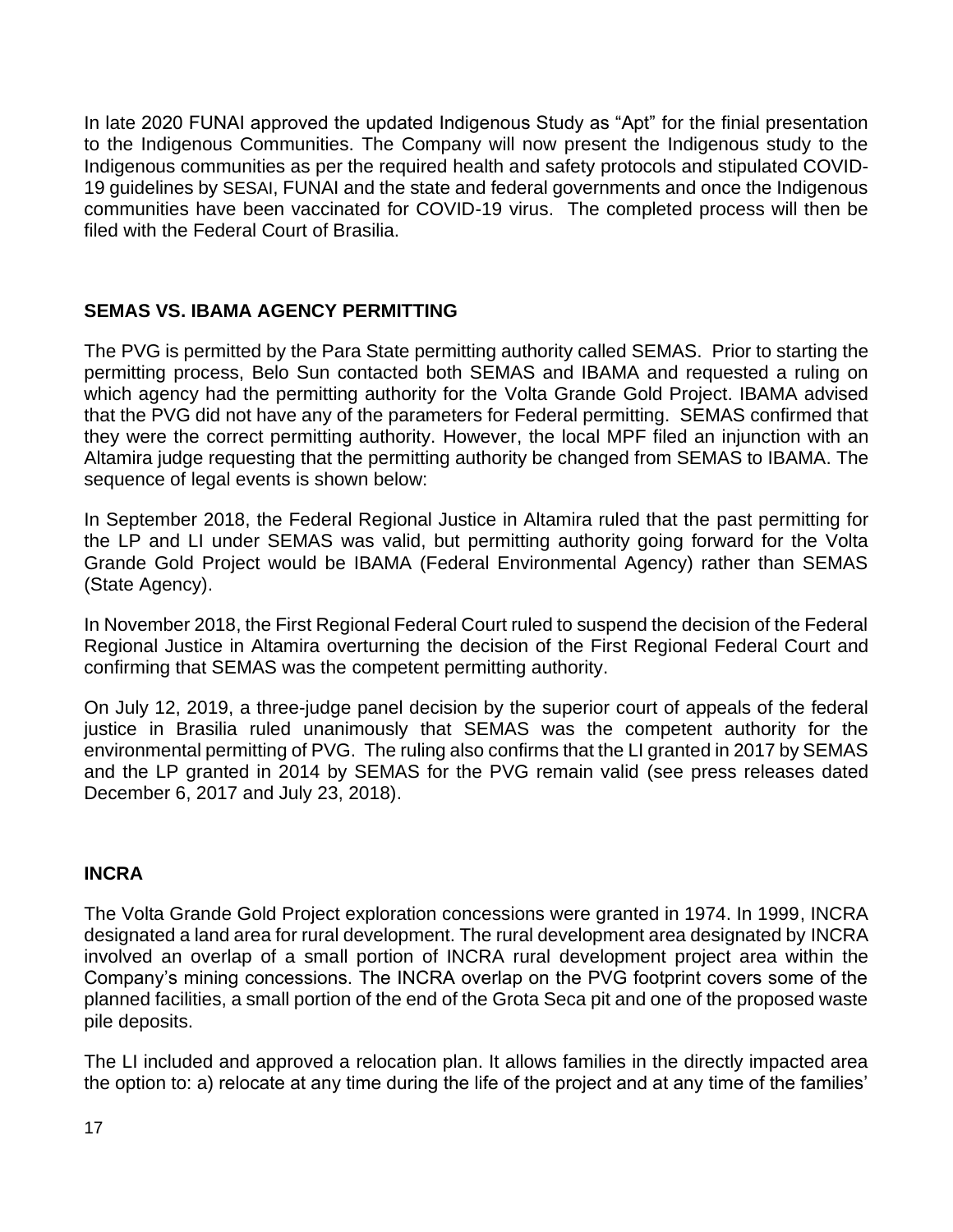In late 2020 FUNAI approved the updated Indigenous Study as "Apt" for the finial presentation to the Indigenous Communities. The Company will now present the Indigenous study to the Indigenous communities as per the required health and safety protocols and stipulated COVID-19 guidelines by SESAI, FUNAI and the state and federal governments and once the Indigenous communities have been vaccinated for COVID-19 virus. The completed process will then be filed with the Federal Court of Brasilia.

# **SEMAS VS. IBAMA AGENCY PERMITTING**

The PVG is permitted by the Para State permitting authority called SEMAS. Prior to starting the permitting process, Belo Sun contacted both SEMAS and IBAMA and requested a ruling on which agency had the permitting authority for the Volta Grande Gold Project. IBAMA advised that the PVG did not have any of the parameters for Federal permitting. SEMAS confirmed that they were the correct permitting authority. However, the local MPF filed an injunction with an Altamira judge requesting that the permitting authority be changed from SEMAS to IBAMA. The sequence of legal events is shown below:

In September 2018, the Federal Regional Justice in Altamira ruled that the past permitting for the LP and LI under SEMAS was valid, but permitting authority going forward for the Volta Grande Gold Project would be IBAMA (Federal Environmental Agency) rather than SEMAS (State Agency).

In November 2018, the First Regional Federal Court ruled to suspend the decision of the Federal Regional Justice in Altamira overturning the decision of the First Regional Federal Court and confirming that SEMAS was the competent permitting authority.

On July 12, 2019, a three-judge panel decision by the superior court of appeals of the federal justice in Brasilia ruled unanimously that SEMAS was the competent authority for the environmental permitting of PVG. The ruling also confirms that the LI granted in 2017 by SEMAS and the LP granted in 2014 by SEMAS for the PVG remain valid (see press releases dated December 6, 2017 and July 23, 2018).

# **INCRA**

The Volta Grande Gold Project exploration concessions were granted in 1974. In 1999, INCRA designated a land area for rural development. The rural development area designated by INCRA involved an overlap of a small portion of INCRA rural development project area within the Company's mining concessions. The INCRA overlap on the PVG footprint covers some of the planned facilities, a small portion of the end of the Grota Seca pit and one of the proposed waste pile deposits.

The LI included and approved a relocation plan. It allows families in the directly impacted area the option to: a) relocate at any time during the life of the project and at any time of the families'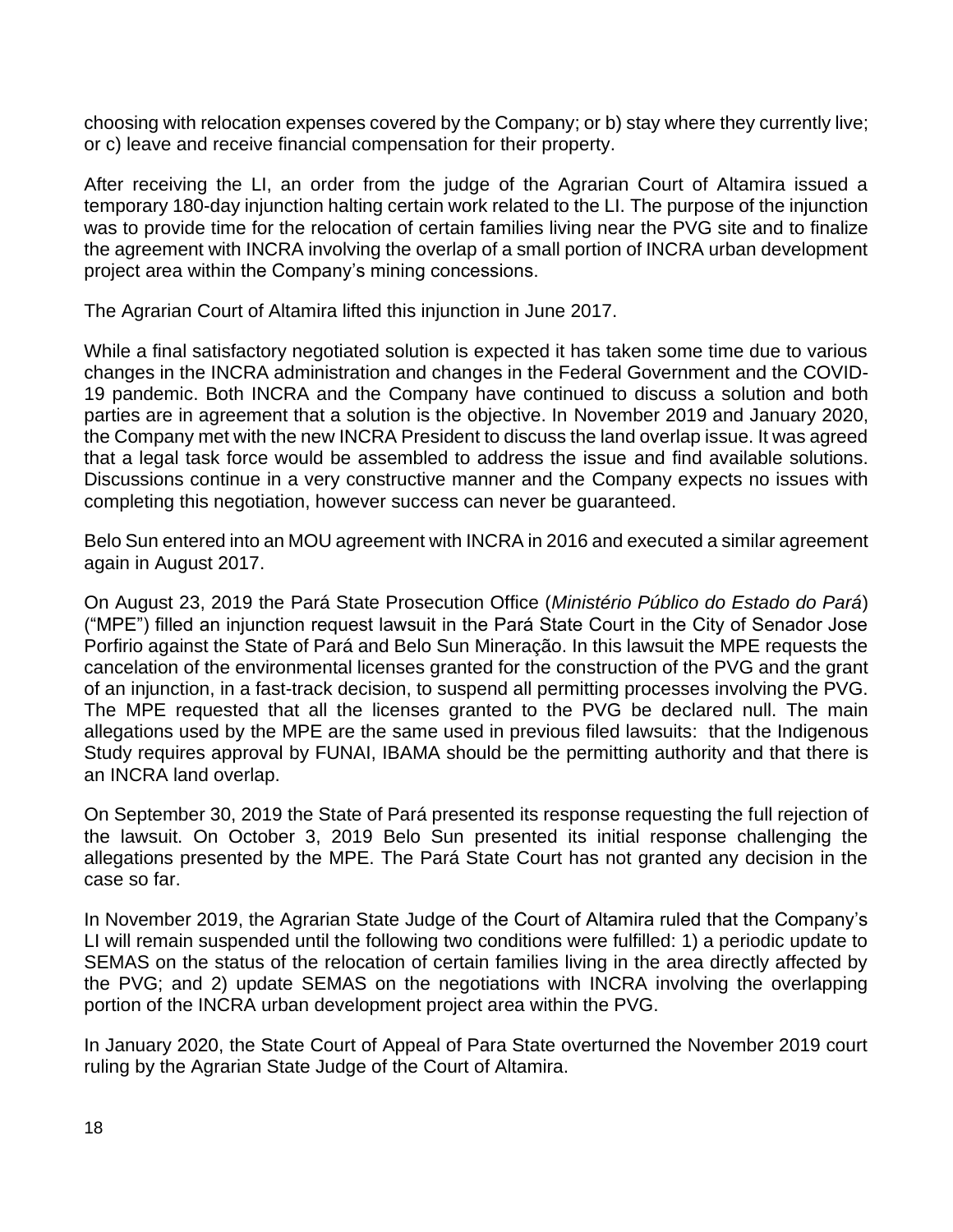choosing with relocation expenses covered by the Company; or b) stay where they currently live; or c) leave and receive financial compensation for their property.

After receiving the LI, an order from the judge of the Agrarian Court of Altamira issued a temporary 180-day injunction halting certain work related to the LI. The purpose of the injunction was to provide time for the relocation of certain families living near the PVG site and to finalize the agreement with INCRA involving the overlap of a small portion of INCRA urban development project area within the Company's mining concessions.

The Agrarian Court of Altamira lifted this injunction in June 2017.

While a final satisfactory negotiated solution is expected it has taken some time due to various changes in the INCRA administration and changes in the Federal Government and the COVID-19 pandemic. Both INCRA and the Company have continued to discuss a solution and both parties are in agreement that a solution is the objective. In November 2019 and January 2020, the Company met with the new INCRA President to discuss the land overlap issue. It was agreed that a legal task force would be assembled to address the issue and find available solutions. Discussions continue in a very constructive manner and the Company expects no issues with completing this negotiation, however success can never be guaranteed.

Belo Sun entered into an MOU agreement with INCRA in 2016 and executed a similar agreement again in August 2017.

On August 23, 2019 the Pará State Prosecution Office (*Ministério Público do Estado do Pará*) ("MPE") filled an injunction request lawsuit in the Pará State Court in the City of Senador Jose Porfirio against the State of Pará and Belo Sun Mineração. In this lawsuit the MPE requests the cancelation of the environmental licenses granted for the construction of the PVG and the grant of an injunction, in a fast-track decision, to suspend all permitting processes involving the PVG. The MPE requested that all the licenses granted to the PVG be declared null. The main allegations used by the MPE are the same used in previous filed lawsuits: that the Indigenous Study requires approval by FUNAI, IBAMA should be the permitting authority and that there is an INCRA land overlap.

On September 30, 2019 the State of Pará presented its response requesting the full rejection of the lawsuit. On October 3, 2019 Belo Sun presented its initial response challenging the allegations presented by the MPE. The Pará State Court has not granted any decision in the case so far.

In November 2019, the Agrarian State Judge of the Court of Altamira ruled that the Company's LI will remain suspended until the following two conditions were fulfilled: 1) a periodic update to SEMAS on the status of the relocation of certain families living in the area directly affected by the PVG; and 2) update SEMAS on the negotiations with INCRA involving the overlapping portion of the INCRA urban development project area within the PVG.

In January 2020, the State Court of Appeal of Para State overturned the November 2019 court ruling by the Agrarian State Judge of the Court of Altamira.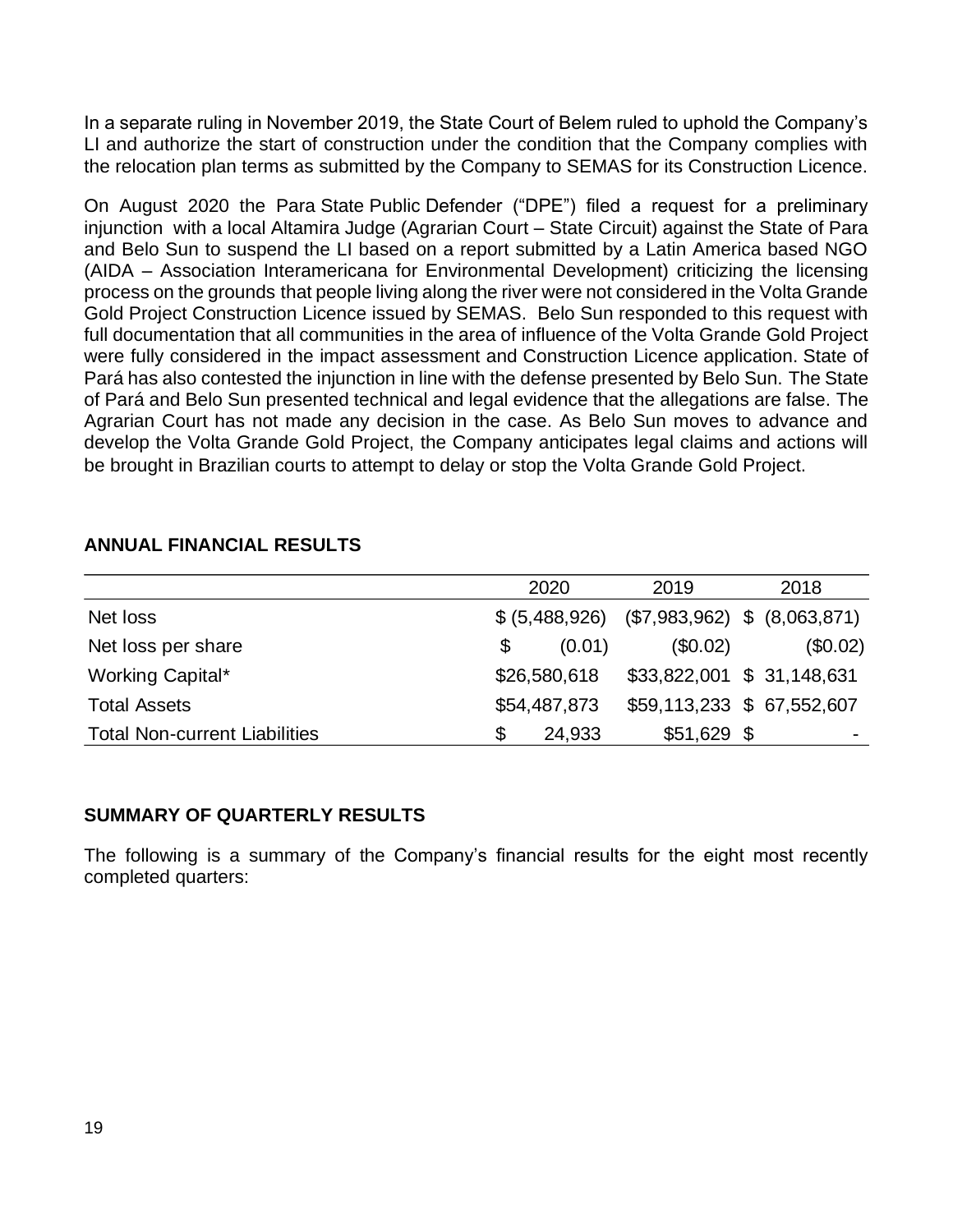In a separate ruling in November 2019, the State Court of Belem ruled to uphold the Company's LI and authorize the start of construction under the condition that the Company complies with the relocation plan terms as submitted by the Company to SEMAS for its Construction Licence.

On August 2020 the Para State Public Defender ("DPE") filed a request for a preliminary injunction with a local Altamira Judge (Agrarian Court – State Circuit) against the State of Para and Belo Sun to suspend the LI based on a report submitted by a Latin America based NGO (AIDA – Association Interamericana for Environmental Development) criticizing the licensing process on the grounds that people living along the river were not considered in the Volta Grande Gold Project Construction Licence issued by SEMAS. Belo Sun responded to this request with full documentation that all communities in the area of influence of the Volta Grande Gold Project were fully considered in the impact assessment and Construction Licence application. State of Pará has also contested the injunction in line with the defense presented by Belo Sun. The State of Pará and Belo Sun presented technical and legal evidence that the allegations are false. The Agrarian Court has not made any decision in the case. As Belo Sun moves to advance and develop the Volta Grande Gold Project, the Company anticipates legal claims and actions will be brought in Brazilian courts to attempt to delay or stop the Volta Grande Gold Project.

## **ANNUAL FINANCIAL RESULTS**

|                                      | 2020                     | 2019         | 2018                            |
|--------------------------------------|--------------------------|--------------|---------------------------------|
| Net loss                             | \$ (5,488,926)           |              | $($7,983,962)$ \$ $(8,063,871)$ |
| Net loss per share                   | (0.01)<br>$\mathfrak{F}$ | (\$0.02)     | (\$0.02)                        |
| Working Capital*                     | \$26,580,618             |              | \$33,822,001 \$ 31,148,631      |
| <b>Total Assets</b>                  | \$54,487,873             |              | \$59,113,233 \$ 67,552,607      |
| <b>Total Non-current Liabilities</b> | 24,933<br>\$             | $$51,629$ \$ | ۰                               |

## **SUMMARY OF QUARTERLY RESULTS**

The following is a summary of the Company's financial results for the eight most recently completed quarters: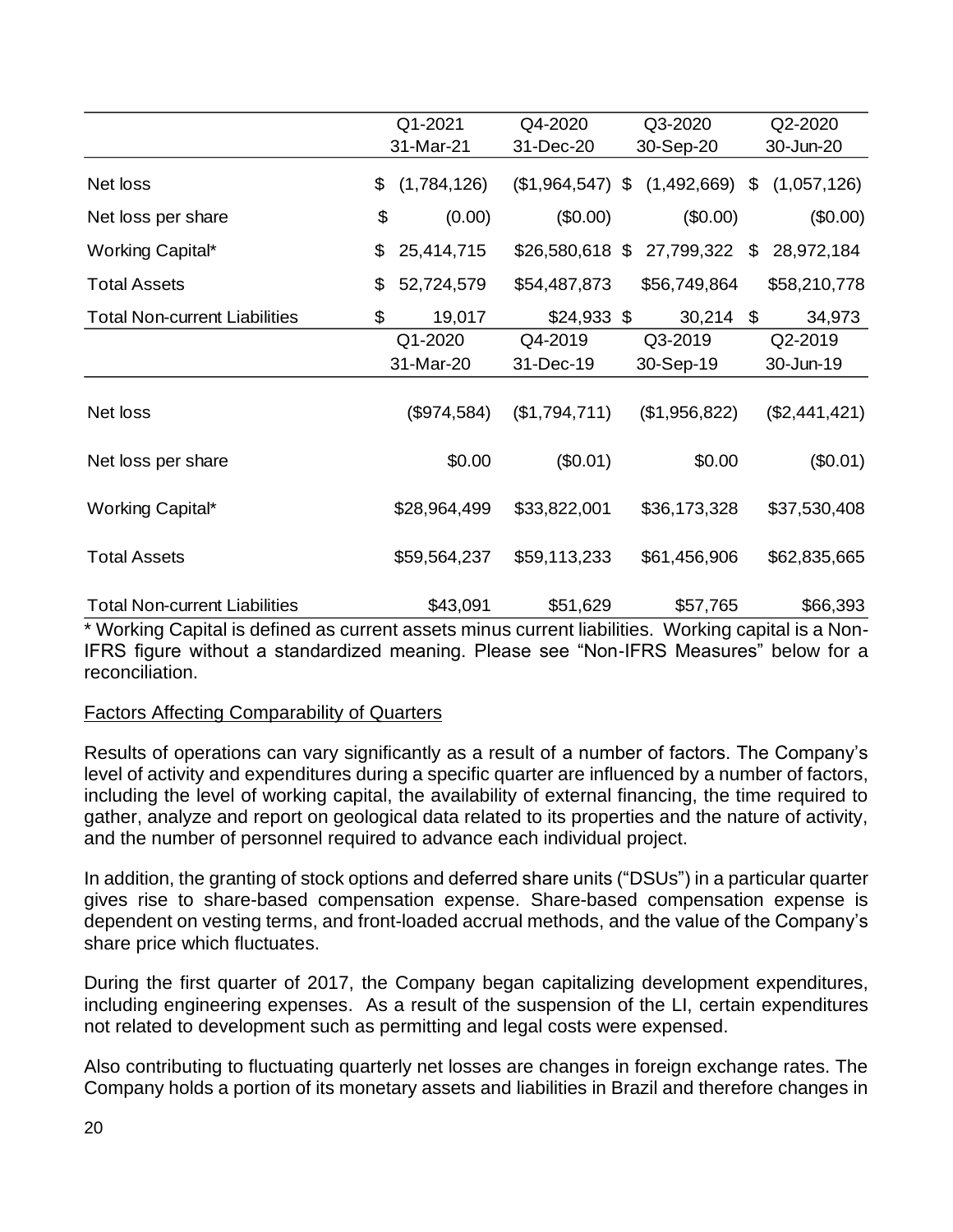|                                      | Q1-2021           | Q4-2020           | Q3-2020       | Q2-2020           |  |  |
|--------------------------------------|-------------------|-------------------|---------------|-------------------|--|--|
|                                      | 31-Mar-21         | 31-Dec-20         | 30-Sep-20     | 30-Jun-20         |  |  |
| Net loss                             | (1,784,126)<br>\$ | $($1,964,547)$ \$ | (1,492,669)   | \$<br>(1,057,126) |  |  |
| Net loss per share                   | \$<br>(0.00)      | (\$0.00)          | (\$0.00)      | (\$0.00)          |  |  |
| Working Capital*                     | \$<br>25,414,715  | $$26,580,618$ \$  | 27,799,322    | \$<br>28,972,184  |  |  |
| <b>Total Assets</b>                  | \$<br>52,724,579  | \$54,487,873      | \$56,749,864  | \$58,210,778      |  |  |
| <b>Total Non-current Liabilities</b> | \$<br>19,017      | $$24,933$ \$      | 30,214        | \$<br>34,973      |  |  |
|                                      | Q1-2020           | Q4-2019           | Q3-2019       | Q2-2019           |  |  |
|                                      | 31-Mar-20         | 31-Dec-19         | 30-Sep-19     | 30-Jun-19         |  |  |
| Net loss                             | (\$974,584)       | (\$1,794,711)     | (\$1,956,822) | (\$2,441,421)     |  |  |
| Net loss per share                   | \$0.00            | (\$0.01)          | \$0.00        | (\$0.01)          |  |  |
| Working Capital*                     | \$28,964,499      | \$33,822,001      | \$36,173,328  | \$37,530,408      |  |  |
| <b>Total Assets</b>                  | \$59,564,237      | \$59,113,233      | \$61,456,906  | \$62,835,665      |  |  |
| <b>Total Non-current Liabilities</b> | \$43,091          | \$51,629          | \$57,765      | \$66,393          |  |  |

\* Working Capital is defined as current assets minus current liabilities. Working capital is a Non-IFRS figure without a standardized meaning. Please see "Non-IFRS Measures" below for a reconciliation.

## Factors Affecting Comparability of Quarters

Results of operations can vary significantly as a result of a number of factors. The Company's level of activity and expenditures during a specific quarter are influenced by a number of factors, including the level of working capital, the availability of external financing, the time required to gather, analyze and report on geological data related to its properties and the nature of activity, and the number of personnel required to advance each individual project.

In addition, the granting of stock options and deferred share units ("DSUs") in a particular quarter gives rise to share-based compensation expense. Share-based compensation expense is dependent on vesting terms, and front-loaded accrual methods, and the value of the Company's share price which fluctuates.

During the first quarter of 2017, the Company began capitalizing development expenditures, including engineering expenses. As a result of the suspension of the LI, certain expenditures not related to development such as permitting and legal costs were expensed.

Also contributing to fluctuating quarterly net losses are changes in foreign exchange rates. The Company holds a portion of its monetary assets and liabilities in Brazil and therefore changes in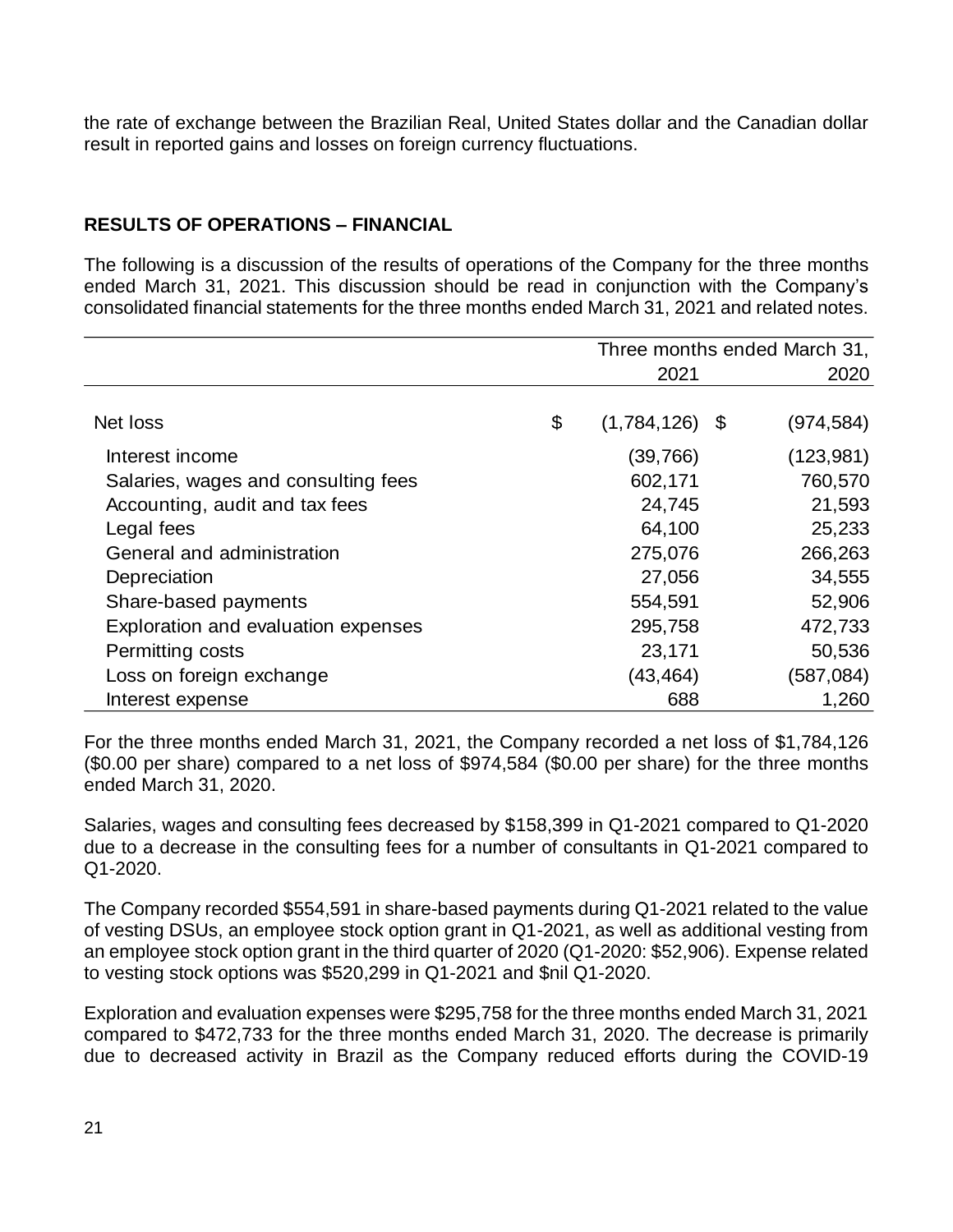the rate of exchange between the Brazilian Real, United States dollar and the Canadian dollar result in reported gains and losses on foreign currency fluctuations.

# **RESULTS OF OPERATIONS – FINANCIAL**

The following is a discussion of the results of operations of the Company for the three months ended March 31, 2021. This discussion should be read in conjunction with the Company's consolidated financial statements for the three months ended March 31, 2021 and related notes.

|                                     | Three months ended March 31, |  |            |
|-------------------------------------|------------------------------|--|------------|
|                                     | 2021                         |  | 2020       |
|                                     |                              |  |            |
| Net loss                            | \$<br>$(1,784,126)$ \$       |  | (974, 584) |
| Interest income                     | (39,766)                     |  | (123, 981) |
| Salaries, wages and consulting fees | 602,171                      |  | 760,570    |
| Accounting, audit and tax fees      | 24,745                       |  | 21,593     |
| Legal fees                          | 64,100                       |  | 25,233     |
| General and administration          | 275,076                      |  | 266,263    |
| Depreciation                        | 27,056                       |  | 34,555     |
| Share-based payments                | 554,591                      |  | 52,906     |
| Exploration and evaluation expenses | 295,758                      |  | 472,733    |
| Permitting costs                    | 23,171                       |  | 50,536     |
| Loss on foreign exchange            | (43,464)                     |  | (587, 084) |
| Interest expense                    | 688                          |  | 1,260      |

For the three months ended March 31, 2021, the Company recorded a net loss of \$1,784,126 (\$0.00 per share) compared to a net loss of \$974,584 (\$0.00 per share) for the three months ended March 31, 2020.

Salaries, wages and consulting fees decreased by \$158,399 in Q1-2021 compared to Q1-2020 due to a decrease in the consulting fees for a number of consultants in Q1-2021 compared to Q1-2020.

The Company recorded \$554,591 in share-based payments during Q1-2021 related to the value of vesting DSUs, an employee stock option grant in Q1-2021, as well as additional vesting from an employee stock option grant in the third quarter of 2020 (Q1-2020: \$52,906). Expense related to vesting stock options was \$520,299 in Q1-2021 and \$nil Q1-2020.

Exploration and evaluation expenses were \$295,758 for the three months ended March 31, 2021 compared to \$472,733 for the three months ended March 31, 2020. The decrease is primarily due to decreased activity in Brazil as the Company reduced efforts during the COVID-19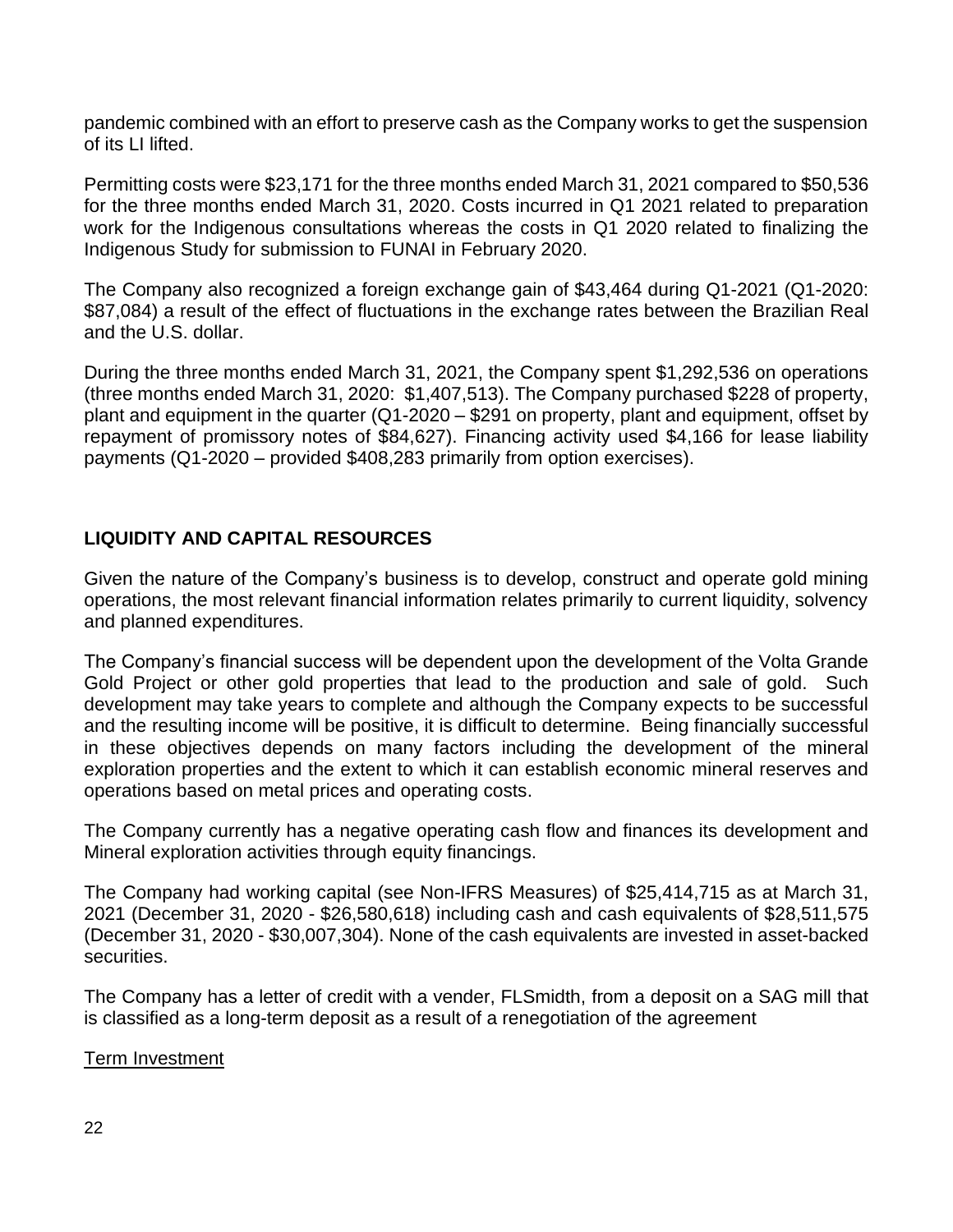pandemic combined with an effort to preserve cash as the Company works to get the suspension of its LI lifted.

Permitting costs were \$23,171 for the three months ended March 31, 2021 compared to \$50,536 for the three months ended March 31, 2020. Costs incurred in Q1 2021 related to preparation work for the Indigenous consultations whereas the costs in Q1 2020 related to finalizing the Indigenous Study for submission to FUNAI in February 2020.

The Company also recognized a foreign exchange gain of \$43,464 during Q1-2021 (Q1-2020: \$87,084) a result of the effect of fluctuations in the exchange rates between the Brazilian Real and the U.S. dollar.

During the three months ended March 31, 2021, the Company spent \$1,292,536 on operations (three months ended March 31, 2020: \$1,407,513). The Company purchased \$228 of property, plant and equipment in the quarter (Q1-2020 – \$291 on property, plant and equipment, offset by repayment of promissory notes of \$84,627). Financing activity used \$4,166 for lease liability payments (Q1-2020 – provided \$408,283 primarily from option exercises).

# **LIQUIDITY AND CAPITAL RESOURCES**

Given the nature of the Company's business is to develop, construct and operate gold mining operations, the most relevant financial information relates primarily to current liquidity, solvency and planned expenditures.

The Company's financial success will be dependent upon the development of the Volta Grande Gold Project or other gold properties that lead to the production and sale of gold. Such development may take years to complete and although the Company expects to be successful and the resulting income will be positive, it is difficult to determine. Being financially successful in these objectives depends on many factors including the development of the mineral exploration properties and the extent to which it can establish economic mineral reserves and operations based on metal prices and operating costs.

The Company currently has a negative operating cash flow and finances its development and Mineral exploration activities through equity financings.

The Company had working capital (see Non-IFRS Measures) of \$25,414,715 as at March 31, 2021 (December 31, 2020 - \$26,580,618) including cash and cash equivalents of \$28,511,575 (December 31, 2020 - \$30,007,304). None of the cash equivalents are invested in asset-backed securities.

The Company has a letter of credit with a vender, FLSmidth, from a deposit on a SAG mill that is classified as a long-term deposit as a result of a renegotiation of the agreement

Term Investment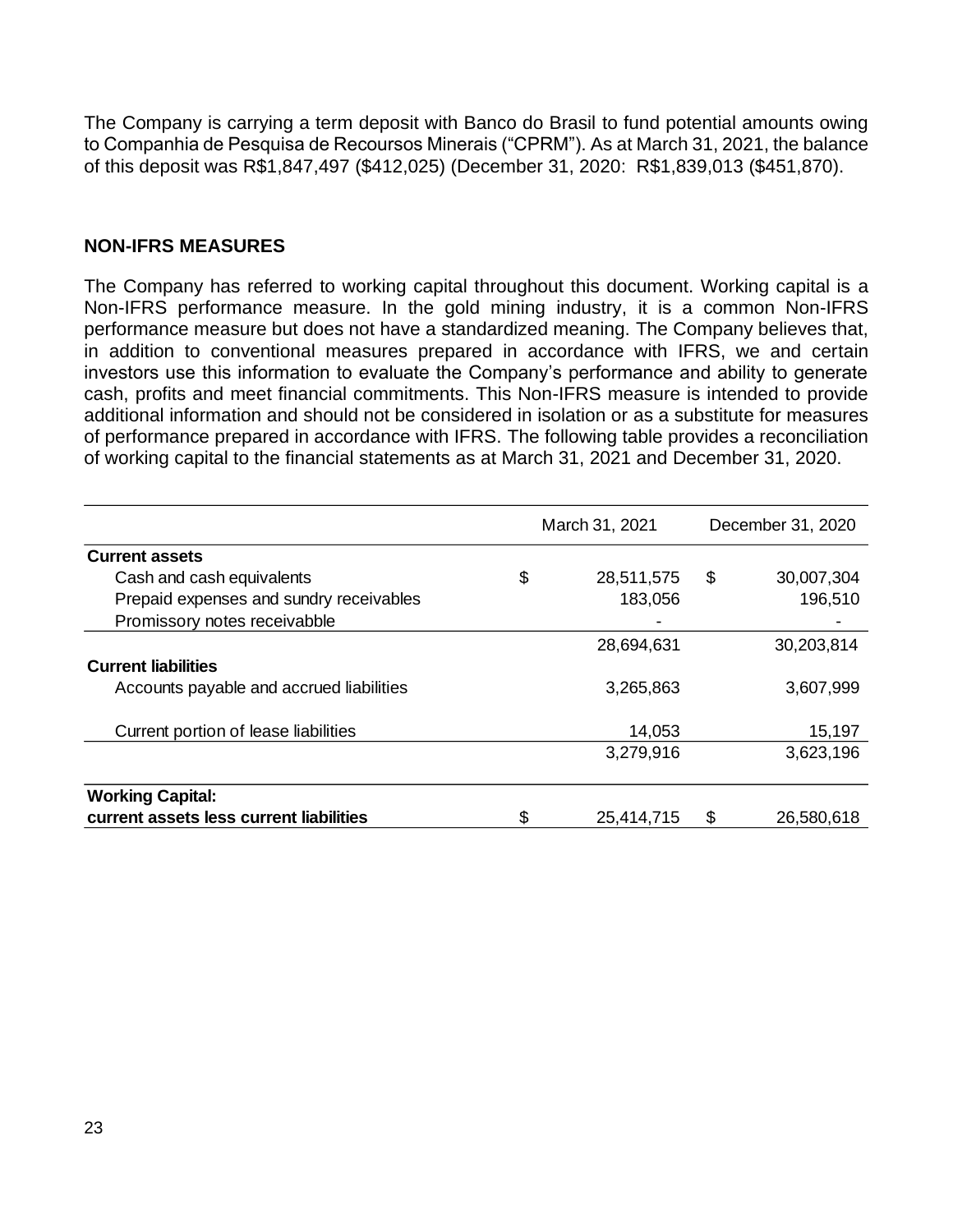The Company is carrying a term deposit with Banco do Brasil to fund potential amounts owing to Companhia de Pesquisa de Recoursos Minerais ("CPRM"). As at March 31, 2021, the balance of this deposit was R\$1,847,497 (\$412,025) (December 31, 2020: R\$1,839,013 (\$451,870).

#### **NON-IFRS MEASURES**

The Company has referred to working capital throughout this document. Working capital is a Non-IFRS performance measure. In the gold mining industry, it is a common Non-IFRS performance measure but does not have a standardized meaning. The Company believes that, in addition to conventional measures prepared in accordance with IFRS, we and certain investors use this information to evaluate the Company's performance and ability to generate cash, profits and meet financial commitments. This Non-IFRS measure is intended to provide additional information and should not be considered in isolation or as a substitute for measures of performance prepared in accordance with IFRS. The following table provides a reconciliation of working capital to the financial statements as at March 31, 2021 and December 31, 2020.

|                                          | March 31, 2021   |    | December 31, 2020 |
|------------------------------------------|------------------|----|-------------------|
| <b>Current assets</b>                    |                  |    |                   |
| Cash and cash equivalents                | \$<br>28,511,575 | \$ | 30,007,304        |
| Prepaid expenses and sundry receivables  | 183,056          |    | 196,510           |
| Promissory notes receivabble             |                  |    |                   |
|                                          | 28,694,631       |    | 30,203,814        |
| <b>Current liabilities</b>               |                  |    |                   |
| Accounts payable and accrued liabilities | 3,265,863        |    | 3,607,999         |
| Current portion of lease liabilities     | 14,053           |    | 15,197            |
|                                          | 3,279,916        |    | 3,623,196         |
| <b>Working Capital:</b>                  |                  |    |                   |
| current assets less current liabilities  | \$<br>25,414,715 | \$ | 26,580,618        |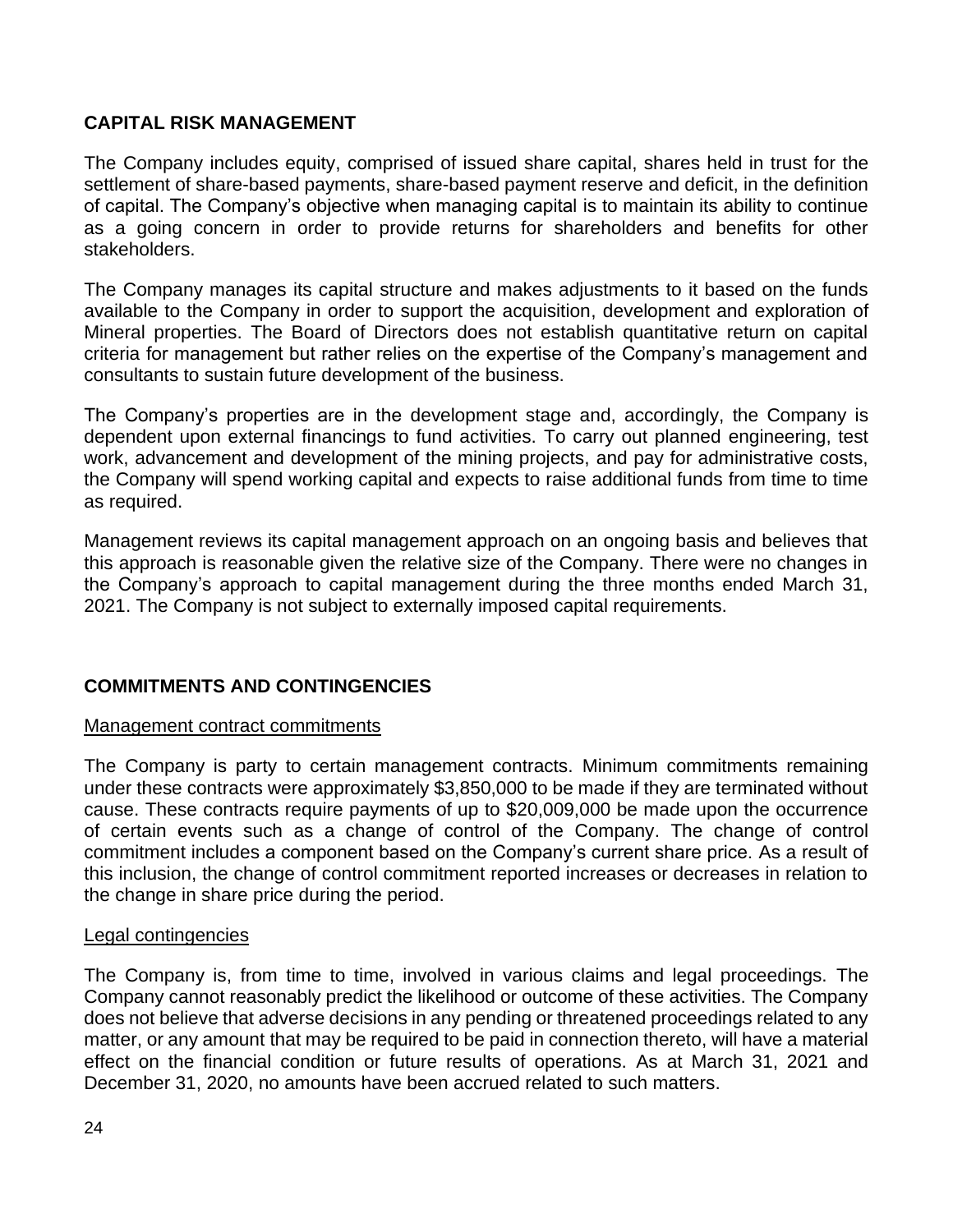## **CAPITAL RISK MANAGEMENT**

The Company includes equity, comprised of issued share capital, shares held in trust for the settlement of share-based payments, share-based payment reserve and deficit, in the definition of capital. The Company's objective when managing capital is to maintain its ability to continue as a going concern in order to provide returns for shareholders and benefits for other stakeholders.

The Company manages its capital structure and makes adjustments to it based on the funds available to the Company in order to support the acquisition, development and exploration of Mineral properties. The Board of Directors does not establish quantitative return on capital criteria for management but rather relies on the expertise of the Company's management and consultants to sustain future development of the business.

The Company's properties are in the development stage and, accordingly, the Company is dependent upon external financings to fund activities. To carry out planned engineering, test work, advancement and development of the mining projects, and pay for administrative costs, the Company will spend working capital and expects to raise additional funds from time to time as required.

Management reviews its capital management approach on an ongoing basis and believes that this approach is reasonable given the relative size of the Company. There were no changes in the Company's approach to capital management during the three months ended March 31, 2021. The Company is not subject to externally imposed capital requirements.

# **COMMITMENTS AND CONTINGENCIES**

#### Management contract commitments

The Company is party to certain management contracts. Minimum commitments remaining under these contracts were approximately \$3,850,000 to be made if they are terminated without cause. These contracts require payments of up to \$20,009,000 be made upon the occurrence of certain events such as a change of control of the Company. The change of control commitment includes a component based on the Company's current share price. As a result of this inclusion, the change of control commitment reported increases or decreases in relation to the change in share price during the period.

#### Legal contingencies

The Company is, from time to time, involved in various claims and legal proceedings. The Company cannot reasonably predict the likelihood or outcome of these activities. The Company does not believe that adverse decisions in any pending or threatened proceedings related to any matter, or any amount that may be required to be paid in connection thereto, will have a material effect on the financial condition or future results of operations. As at March 31, 2021 and December 31, 2020, no amounts have been accrued related to such matters.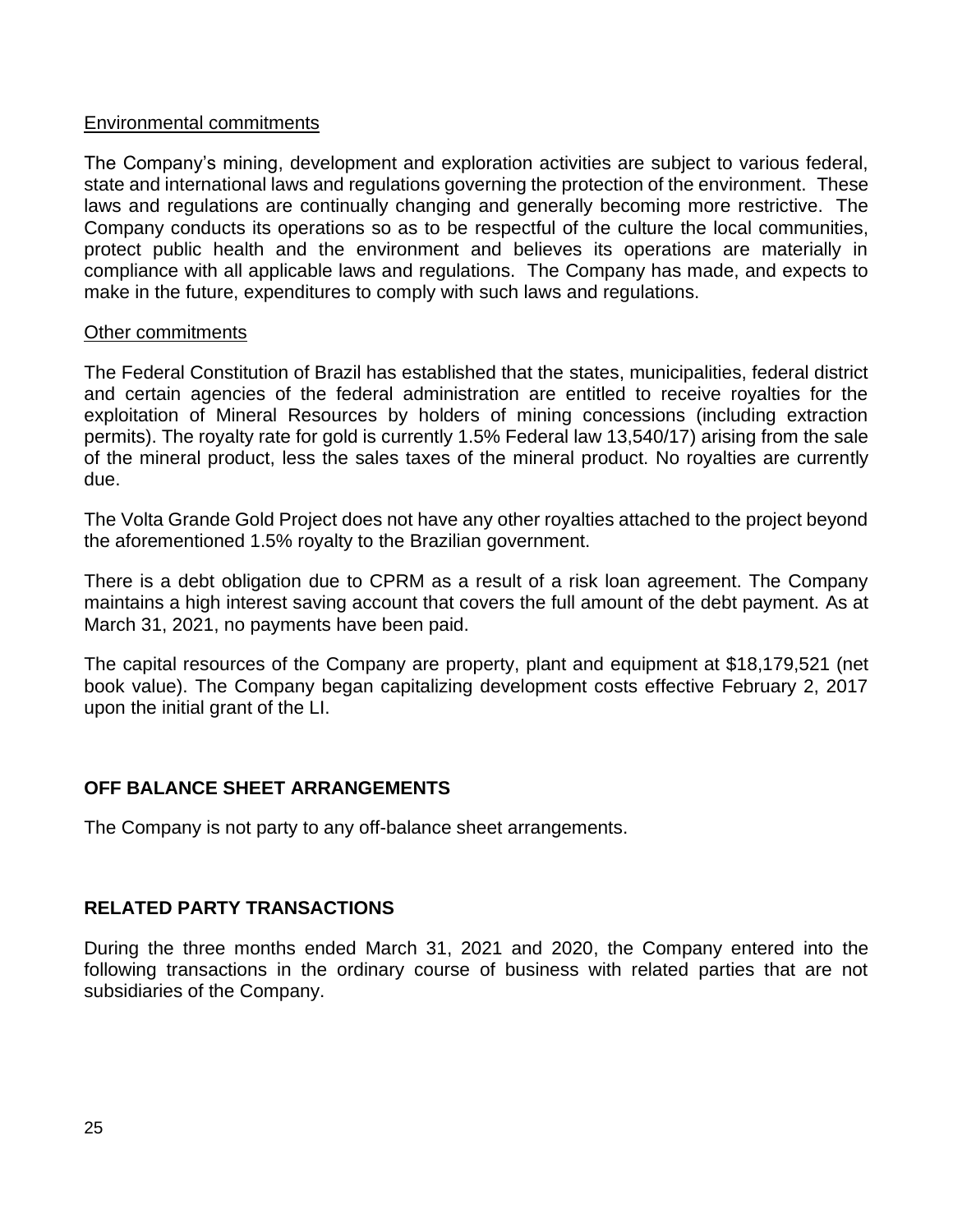#### Environmental commitments

The Company's mining, development and exploration activities are subject to various federal, state and international laws and regulations governing the protection of the environment. These laws and regulations are continually changing and generally becoming more restrictive. The Company conducts its operations so as to be respectful of the culture the local communities, protect public health and the environment and believes its operations are materially in compliance with all applicable laws and regulations. The Company has made, and expects to make in the future, expenditures to comply with such laws and regulations.

#### Other commitments

The Federal Constitution of Brazil has established that the states, municipalities, federal district and certain agencies of the federal administration are entitled to receive royalties for the exploitation of Mineral Resources by holders of mining concessions (including extraction permits). The royalty rate for gold is currently 1.5% Federal law 13,540/17) arising from the sale of the mineral product, less the sales taxes of the mineral product. No royalties are currently due.

The Volta Grande Gold Project does not have any other royalties attached to the project beyond the aforementioned 1.5% royalty to the Brazilian government.

There is a debt obligation due to CPRM as a result of a risk loan agreement. The Company maintains a high interest saving account that covers the full amount of the debt payment. As at March 31, 2021, no payments have been paid.

The capital resources of the Company are property, plant and equipment at \$18,179,521 (net book value). The Company began capitalizing development costs effective February 2, 2017 upon the initial grant of the LI.

# **OFF BALANCE SHEET ARRANGEMENTS**

The Company is not party to any off-balance sheet arrangements.

## **RELATED PARTY TRANSACTIONS**

During the three months ended March 31, 2021 and 2020, the Company entered into the following transactions in the ordinary course of business with related parties that are not subsidiaries of the Company.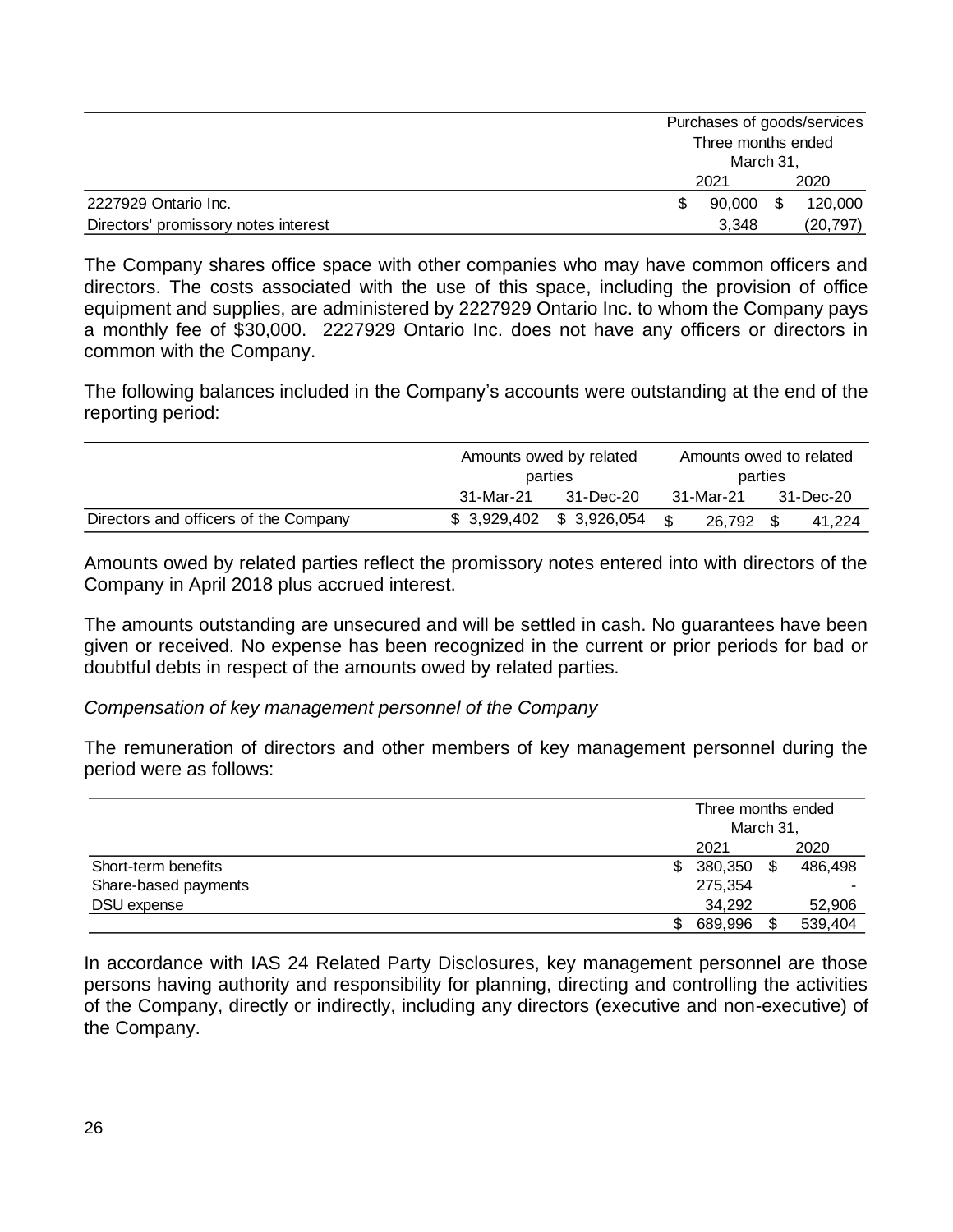|                                      |  | Purchases of goods/services     |           |         |  |
|--------------------------------------|--|---------------------------------|-----------|---------|--|
|                                      |  | Three months ended<br>March 31, |           |         |  |
|                                      |  |                                 |           |         |  |
|                                      |  | 2021                            |           | 2020    |  |
| 2227929 Ontario Inc.                 |  | 90,000                          | - \$      | 120,000 |  |
| Directors' promissory notes interest |  | 3.348                           | (20, 797) |         |  |

The Company shares office space with other companies who may have common officers and directors. The costs associated with the use of this space, including the provision of office equipment and supplies, are administered by 2227929 Ontario Inc. to whom the Company pays a monthly fee of \$30,000. 2227929 Ontario Inc. does not have any officers or directors in common with the Company.

The following balances included in the Company's accounts were outstanding at the end of the reporting period:

|                                       | Amounts owed by related<br>parties |                           |     | Amounts owed to related |  |           |  |
|---------------------------------------|------------------------------------|---------------------------|-----|-------------------------|--|-----------|--|
|                                       |                                    |                           |     | parties                 |  |           |  |
|                                       | 31-Mar-21<br>31-Dec-20             |                           |     | 31-Mar-21               |  | 31-Dec-20 |  |
| Directors and officers of the Company |                                    | $$3,929,402$ $$3,926,054$ | . ድ | 26.792                  |  | 41.224    |  |

Amounts owed by related parties reflect the promissory notes entered into with directors of the Company in April 2018 plus accrued interest.

The amounts outstanding are unsecured and will be settled in cash. No guarantees have been given or received. No expense has been recognized in the current or prior periods for bad or doubtful debts in respect of the amounts owed by related parties.

## *Compensation of key management personnel of the Company*

The remuneration of directors and other members of key management personnel during the period were as follows:

|                      |    | Three months ended<br>March 31, |    |         |  |
|----------------------|----|---------------------------------|----|---------|--|
|                      |    | 2021                            |    | 2020    |  |
| Short-term benefits  | S. | 380,350                         | \$ | 486,498 |  |
| Share-based payments |    | 275,354                         |    |         |  |
| DSU expense          |    | 34,292                          |    | 52,906  |  |
|                      |    | 689,996                         |    | 539,404 |  |

In accordance with IAS 24 Related Party Disclosures, key management personnel are those persons having authority and responsibility for planning, directing and controlling the activities of the Company, directly or indirectly, including any directors (executive and non-executive) of the Company.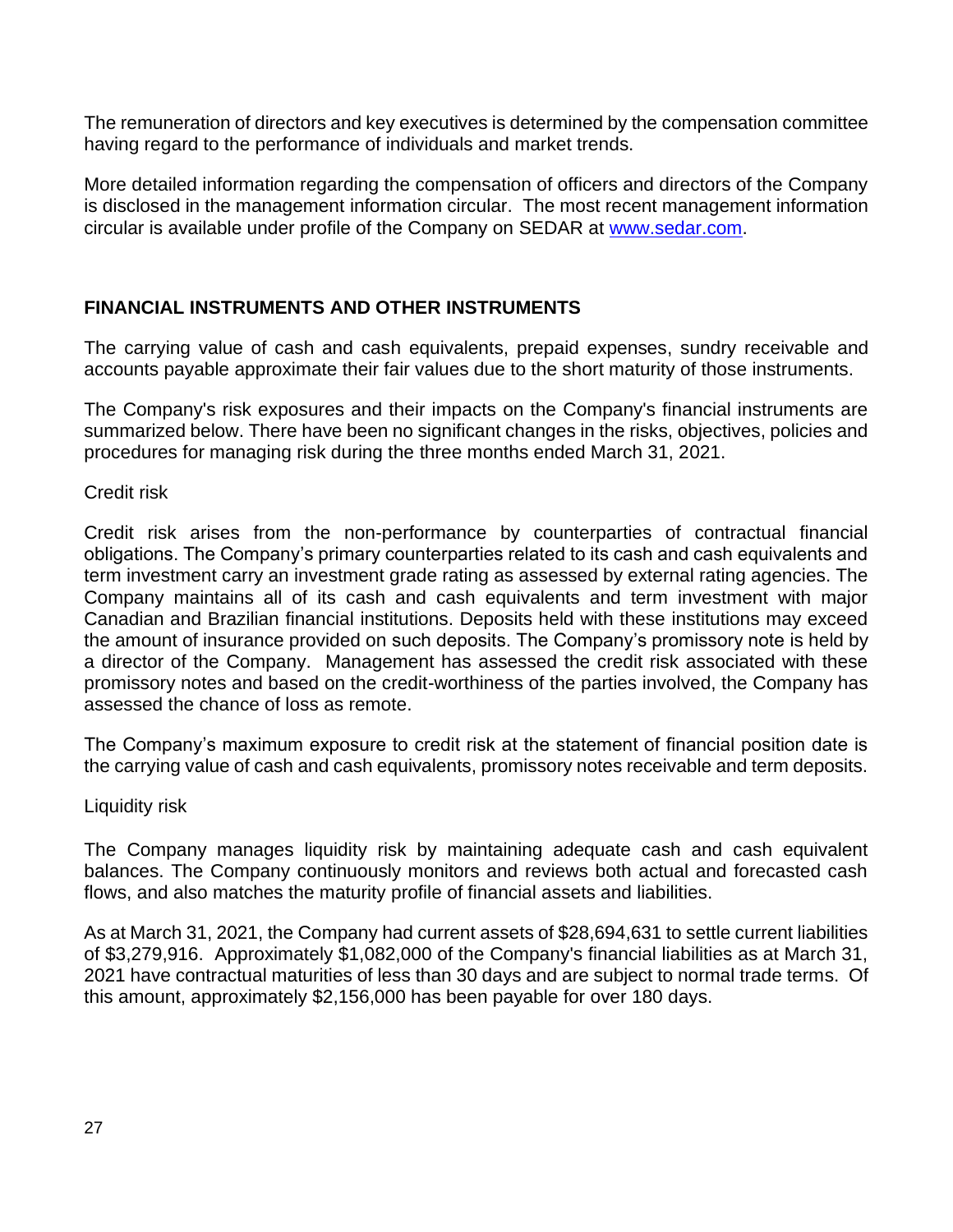The remuneration of directors and key executives is determined by the compensation committee having regard to the performance of individuals and market trends.

More detailed information regarding the compensation of officers and directors of the Company is disclosed in the management information circular. The most recent management information circular is available under profile of the Company on SEDAR at [www.sedar.com.](http://www.sedar.com/)

## **FINANCIAL INSTRUMENTS AND OTHER INSTRUMENTS**

The carrying value of cash and cash equivalents, prepaid expenses, sundry receivable and accounts payable approximate their fair values due to the short maturity of those instruments.

The Company's risk exposures and their impacts on the Company's financial instruments are summarized below. There have been no significant changes in the risks, objectives, policies and procedures for managing risk during the three months ended March 31, 2021.

Credit risk

Credit risk arises from the non-performance by counterparties of contractual financial obligations. The Company's primary counterparties related to its cash and cash equivalents and term investment carry an investment grade rating as assessed by external rating agencies. The Company maintains all of its cash and cash equivalents and term investment with major Canadian and Brazilian financial institutions. Deposits held with these institutions may exceed the amount of insurance provided on such deposits. The Company's promissory note is held by a director of the Company. Management has assessed the credit risk associated with these promissory notes and based on the credit-worthiness of the parties involved, the Company has assessed the chance of loss as remote.

The Company's maximum exposure to credit risk at the statement of financial position date is the carrying value of cash and cash equivalents, promissory notes receivable and term deposits.

## Liquidity risk

The Company manages liquidity risk by maintaining adequate cash and cash equivalent balances. The Company continuously monitors and reviews both actual and forecasted cash flows, and also matches the maturity profile of financial assets and liabilities.

As at March 31, 2021, the Company had current assets of \$28,694,631 to settle current liabilities of \$3,279,916. Approximately \$1,082,000 of the Company's financial liabilities as at March 31, 2021 have contractual maturities of less than 30 days and are subject to normal trade terms. Of this amount, approximately \$2,156,000 has been payable for over 180 days.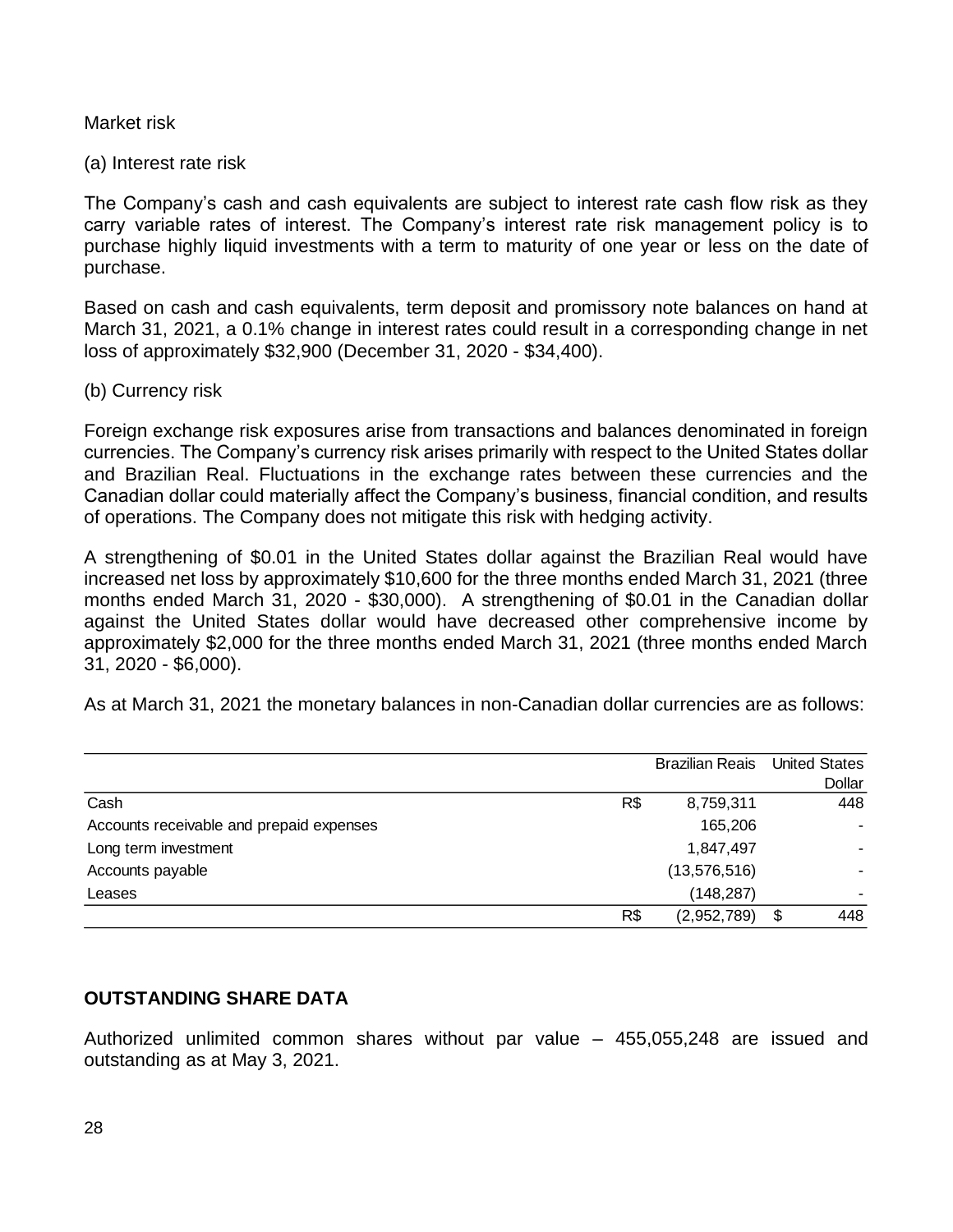#### Market risk

(a) Interest rate risk

The Company's cash and cash equivalents are subject to interest rate cash flow risk as they carry variable rates of interest. The Company's interest rate risk management policy is to purchase highly liquid investments with a term to maturity of one year or less on the date of purchase.

Based on cash and cash equivalents, term deposit and promissory note balances on hand at March 31, 2021, a 0.1% change in interest rates could result in a corresponding change in net loss of approximately \$32,900 (December 31, 2020 - \$34,400).

#### (b) Currency risk

Foreign exchange risk exposures arise from transactions and balances denominated in foreign currencies. The Company's currency risk arises primarily with respect to the United States dollar and Brazilian Real. Fluctuations in the exchange rates between these currencies and the Canadian dollar could materially affect the Company's business, financial condition, and results of operations. The Company does not mitigate this risk with hedging activity.

A strengthening of \$0.01 in the United States dollar against the Brazilian Real would have increased net loss by approximately \$10,600 for the three months ended March 31, 2021 (three months ended March 31, 2020 - \$30,000). A strengthening of \$0.01 in the Canadian dollar against the United States dollar would have decreased other comprehensive income by approximately \$2,000 for the three months ended March 31, 2021 (three months ended March 31, 2020 - \$6,000).

As at March 31, 2021 the monetary balances in non-Canadian dollar currencies are as follows:

|                                          |     | <b>Brazilian Reais</b> United States |           |
|------------------------------------------|-----|--------------------------------------|-----------|
|                                          |     |                                      | Dollar    |
| Cash                                     | R\$ | 8,759,311                            | 448       |
| Accounts receivable and prepaid expenses |     | 165,206                              |           |
| Long term investment                     |     | 1,847,497                            |           |
| Accounts payable                         |     | (13, 576, 516)                       |           |
| Leases                                   |     | (148, 287)                           |           |
|                                          | R\$ | (2,952,789)                          | \$<br>448 |

# **OUTSTANDING SHARE DATA**

Authorized unlimited common shares without par value – 455,055,248 are issued and outstanding as at May 3, 2021.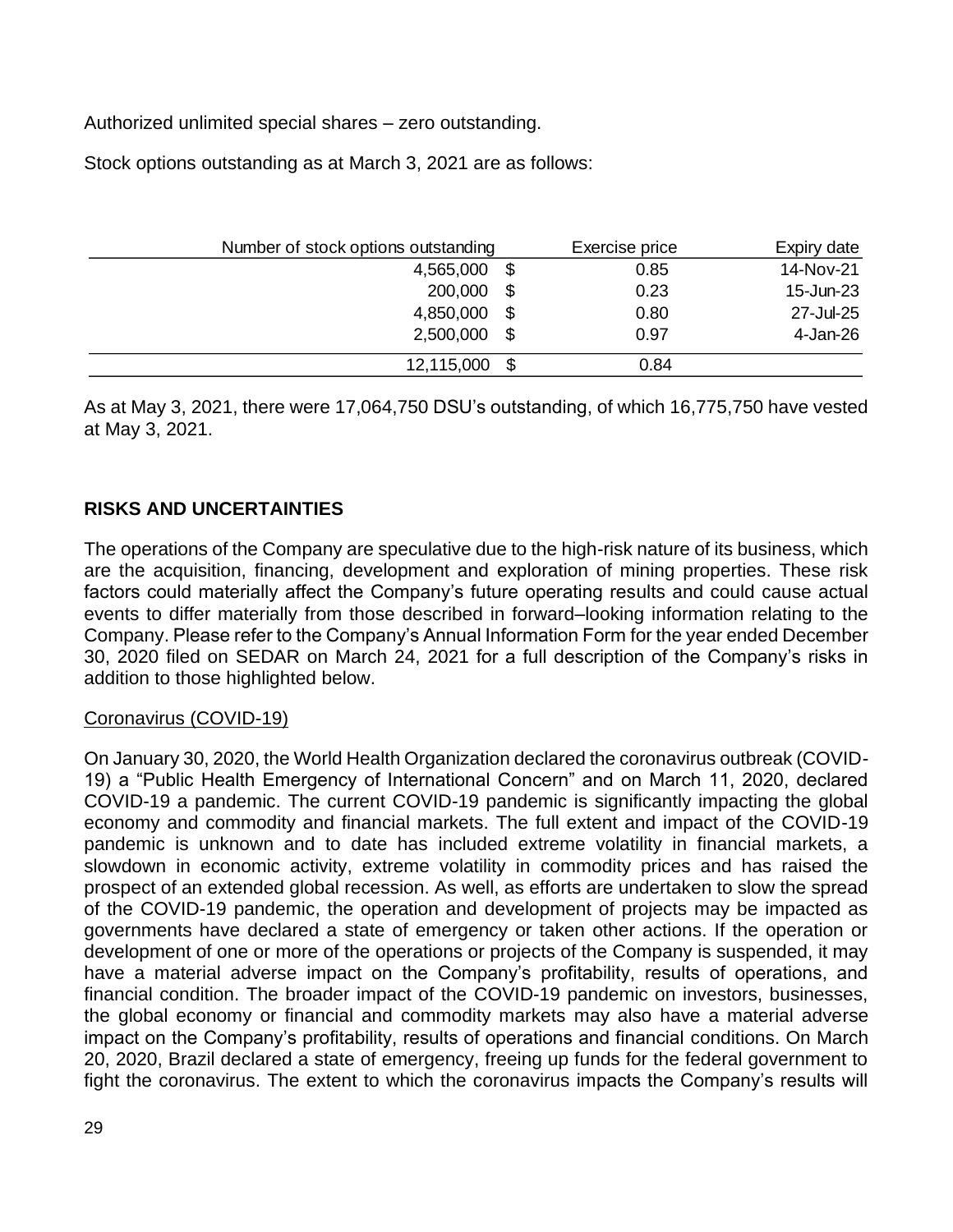Authorized unlimited special shares – zero outstanding.

Stock options outstanding as at March 3, 2021 are as follows:

| Number of stock options outstanding |      | Exercise price | Expiry date |
|-------------------------------------|------|----------------|-------------|
| 4,565,000                           | \$   | 0.85           | 14-Nov-21   |
| 200,000                             | \$   | 0.23           | 15-Jun-23   |
| 4,850,000                           | -S   | 0.80           | 27-Jul-25   |
| 2,500,000                           | \$   | 0.97           | 4-Jan-26    |
| 12,115,000                          | - \$ | 0.84           |             |

As at May 3, 2021, there were 17,064,750 DSU's outstanding, of which 16,775,750 have vested at May 3, 2021.

# **RISKS AND UNCERTAINTIES**

The operations of the Company are speculative due to the high-risk nature of its business, which are the acquisition, financing, development and exploration of mining properties. These risk factors could materially affect the Company's future operating results and could cause actual events to differ materially from those described in forward–looking information relating to the Company. Please refer to the Company's Annual Information Form for the year ended December 30, 2020 filed on SEDAR on March 24, 2021 for a full description of the Company's risks in addition to those highlighted below.

## Coronavirus (COVID-19)

On January 30, 2020, the World Health Organization declared the coronavirus outbreak (COVID-19) a "Public Health Emergency of International Concern" and on March 11, 2020, declared COVID-19 a pandemic. The current COVID-19 pandemic is significantly impacting the global economy and commodity and financial markets. The full extent and impact of the COVID-19 pandemic is unknown and to date has included extreme volatility in financial markets, a slowdown in economic activity, extreme volatility in commodity prices and has raised the prospect of an extended global recession. As well, as efforts are undertaken to slow the spread of the COVID-19 pandemic, the operation and development of projects may be impacted as governments have declared a state of emergency or taken other actions. If the operation or development of one or more of the operations or projects of the Company is suspended, it may have a material adverse impact on the Company's profitability, results of operations, and financial condition. The broader impact of the COVID-19 pandemic on investors, businesses, the global economy or financial and commodity markets may also have a material adverse impact on the Company's profitability, results of operations and financial conditions. On March 20, 2020, Brazil declared a state of emergency, freeing up funds for the federal government to fight the coronavirus. The extent to which the coronavirus impacts the Company's results will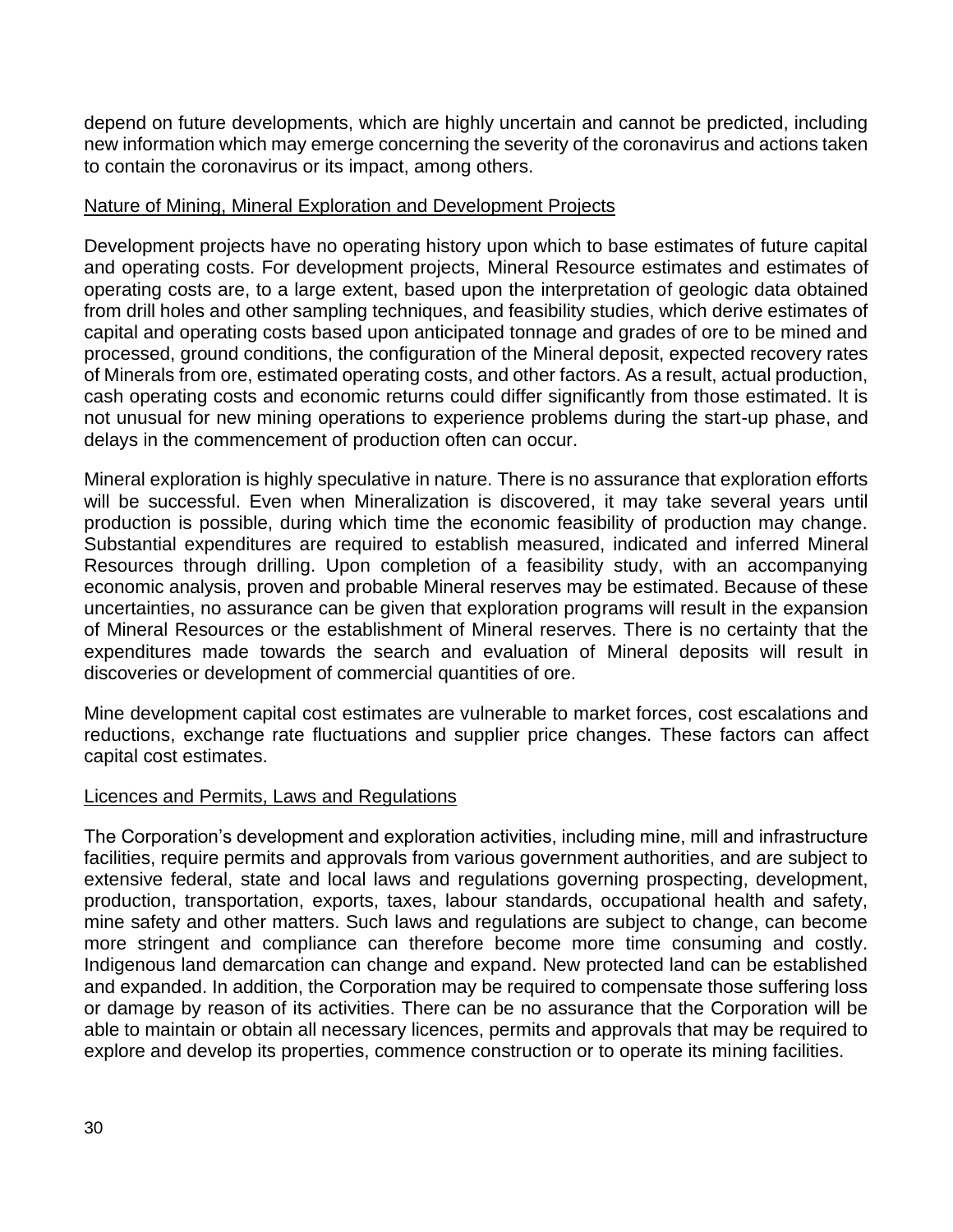depend on future developments, which are highly uncertain and cannot be predicted, including new information which may emerge concerning the severity of the coronavirus and actions taken to contain the coronavirus or its impact, among others.

## Nature of Mining, Mineral Exploration and Development Projects

Development projects have no operating history upon which to base estimates of future capital and operating costs. For development projects, Mineral Resource estimates and estimates of operating costs are, to a large extent, based upon the interpretation of geologic data obtained from drill holes and other sampling techniques, and feasibility studies, which derive estimates of capital and operating costs based upon anticipated tonnage and grades of ore to be mined and processed, ground conditions, the configuration of the Mineral deposit, expected recovery rates of Minerals from ore, estimated operating costs, and other factors. As a result, actual production, cash operating costs and economic returns could differ significantly from those estimated. It is not unusual for new mining operations to experience problems during the start-up phase, and delays in the commencement of production often can occur.

Mineral exploration is highly speculative in nature. There is no assurance that exploration efforts will be successful. Even when Mineralization is discovered, it may take several years until production is possible, during which time the economic feasibility of production may change. Substantial expenditures are required to establish measured, indicated and inferred Mineral Resources through drilling. Upon completion of a feasibility study, with an accompanying economic analysis, proven and probable Mineral reserves may be estimated. Because of these uncertainties, no assurance can be given that exploration programs will result in the expansion of Mineral Resources or the establishment of Mineral reserves. There is no certainty that the expenditures made towards the search and evaluation of Mineral deposits will result in discoveries or development of commercial quantities of ore.

Mine development capital cost estimates are vulnerable to market forces, cost escalations and reductions, exchange rate fluctuations and supplier price changes. These factors can affect capital cost estimates.

#### Licences and Permits, Laws and Regulations

The Corporation's development and exploration activities, including mine, mill and infrastructure facilities, require permits and approvals from various government authorities, and are subject to extensive federal, state and local laws and regulations governing prospecting, development, production, transportation, exports, taxes, labour standards, occupational health and safety, mine safety and other matters. Such laws and regulations are subject to change, can become more stringent and compliance can therefore become more time consuming and costly. Indigenous land demarcation can change and expand. New protected land can be established and expanded. In addition, the Corporation may be required to compensate those suffering loss or damage by reason of its activities. There can be no assurance that the Corporation will be able to maintain or obtain all necessary licences, permits and approvals that may be required to explore and develop its properties, commence construction or to operate its mining facilities.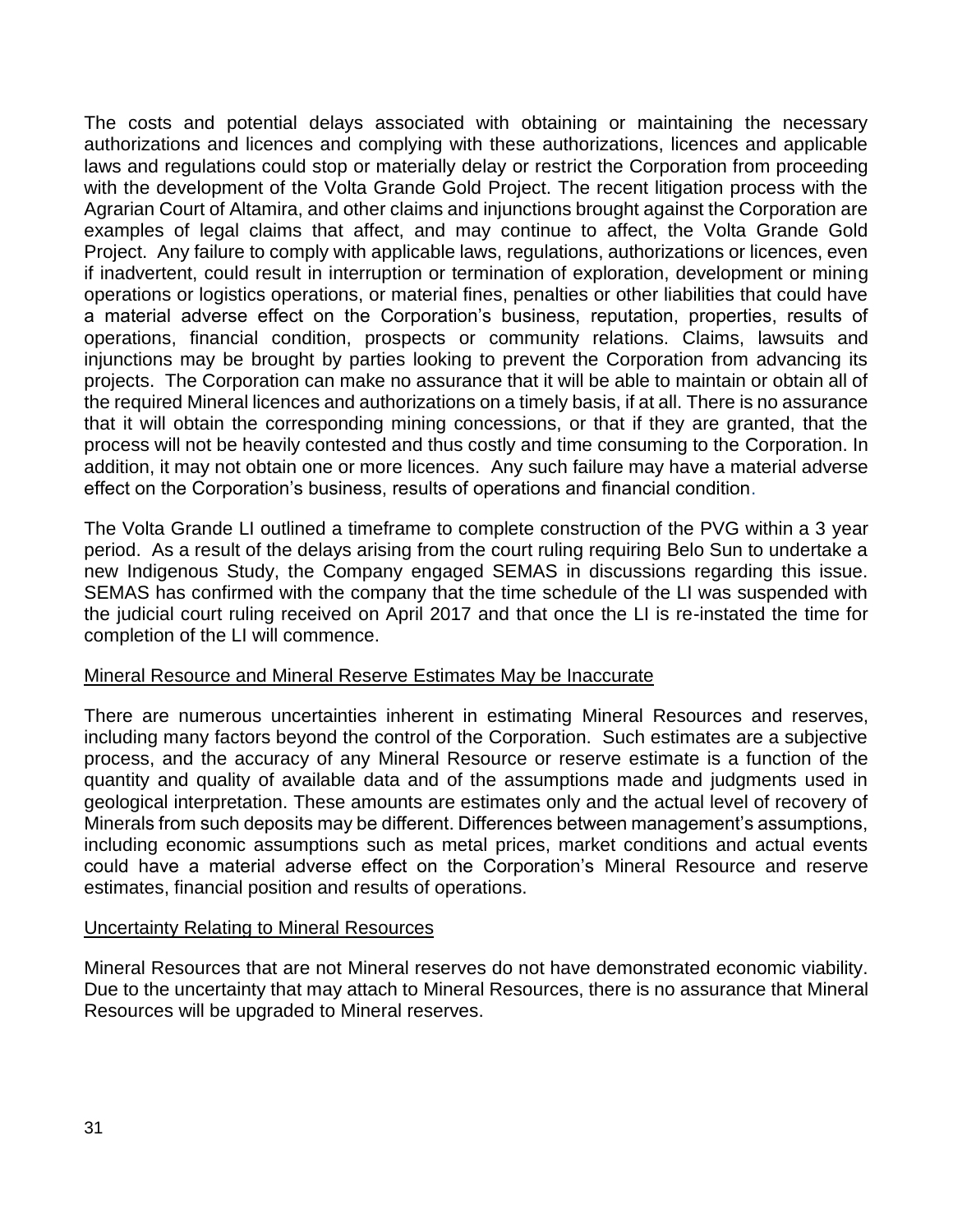The costs and potential delays associated with obtaining or maintaining the necessary authorizations and licences and complying with these authorizations, licences and applicable laws and regulations could stop or materially delay or restrict the Corporation from proceeding with the development of the Volta Grande Gold Project. The recent litigation process with the Agrarian Court of Altamira, and other claims and injunctions brought against the Corporation are examples of legal claims that affect, and may continue to affect, the Volta Grande Gold Project. Any failure to comply with applicable laws, regulations, authorizations or licences, even if inadvertent, could result in interruption or termination of exploration, development or mining operations or logistics operations, or material fines, penalties or other liabilities that could have a material adverse effect on the Corporation's business, reputation, properties, results of operations, financial condition, prospects or community relations. Claims, lawsuits and injunctions may be brought by parties looking to prevent the Corporation from advancing its projects. The Corporation can make no assurance that it will be able to maintain or obtain all of the required Mineral licences and authorizations on a timely basis, if at all. There is no assurance that it will obtain the corresponding mining concessions, or that if they are granted, that the process will not be heavily contested and thus costly and time consuming to the Corporation. In addition, it may not obtain one or more licences. Any such failure may have a material adverse effect on the Corporation's business, results of operations and financial condition.

The Volta Grande LI outlined a timeframe to complete construction of the PVG within a 3 year period. As a result of the delays arising from the court ruling requiring Belo Sun to undertake a new Indigenous Study, the Company engaged SEMAS in discussions regarding this issue. SEMAS has confirmed with the company that the time schedule of the LI was suspended with the judicial court ruling received on April 2017 and that once the LI is re-instated the time for completion of the LI will commence.

#### Mineral Resource and Mineral Reserve Estimates May be Inaccurate

There are numerous uncertainties inherent in estimating Mineral Resources and reserves, including many factors beyond the control of the Corporation. Such estimates are a subjective process, and the accuracy of any Mineral Resource or reserve estimate is a function of the quantity and quality of available data and of the assumptions made and judgments used in geological interpretation. These amounts are estimates only and the actual level of recovery of Minerals from such deposits may be different. Differences between management's assumptions, including economic assumptions such as metal prices, market conditions and actual events could have a material adverse effect on the Corporation's Mineral Resource and reserve estimates, financial position and results of operations.

#### Uncertainty Relating to Mineral Resources

Mineral Resources that are not Mineral reserves do not have demonstrated economic viability. Due to the uncertainty that may attach to Mineral Resources, there is no assurance that Mineral Resources will be upgraded to Mineral reserves.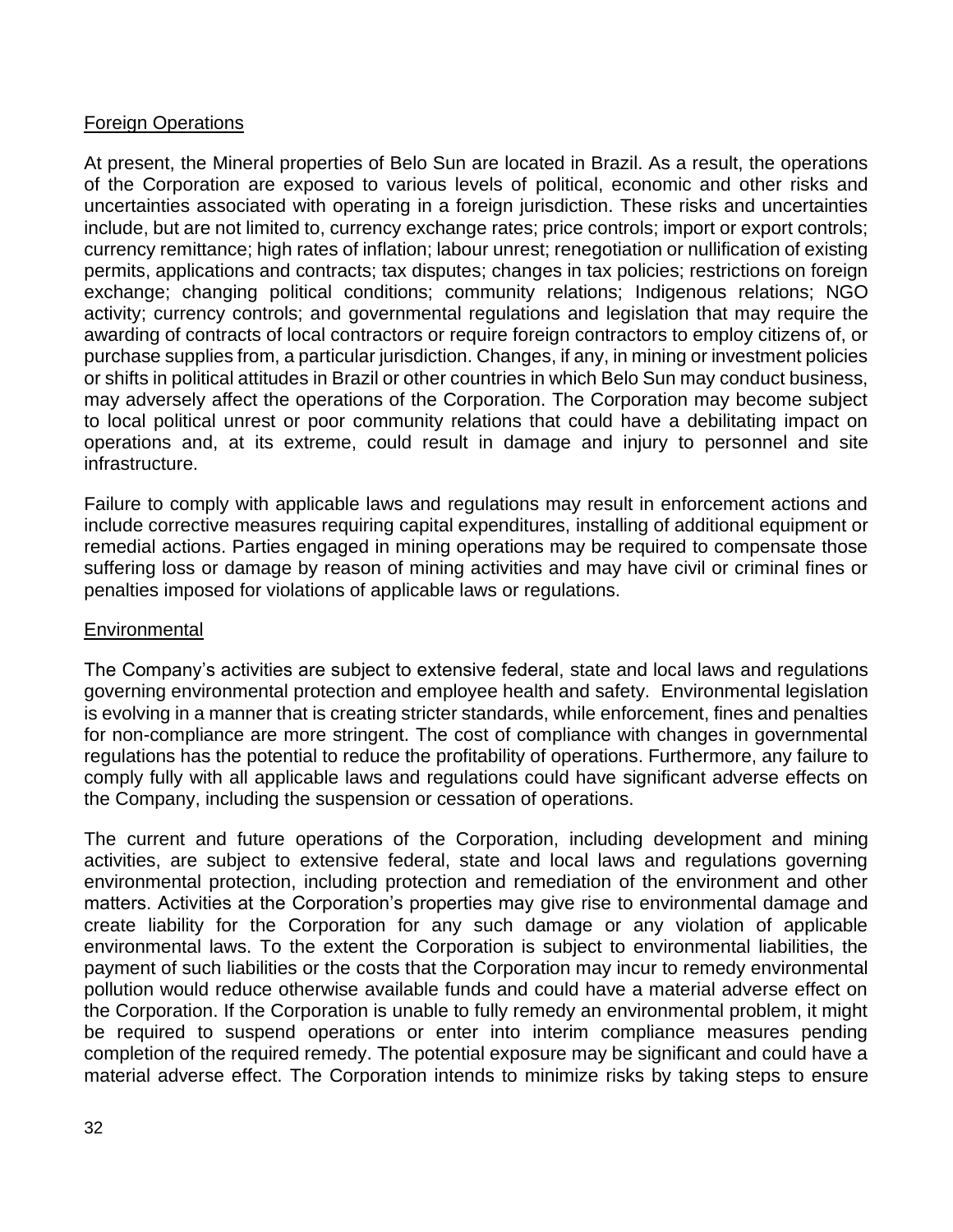## Foreign Operations

At present, the Mineral properties of Belo Sun are located in Brazil. As a result, the operations of the Corporation are exposed to various levels of political, economic and other risks and uncertainties associated with operating in a foreign jurisdiction. These risks and uncertainties include, but are not limited to, currency exchange rates; price controls; import or export controls; currency remittance; high rates of inflation; labour unrest; renegotiation or nullification of existing permits, applications and contracts; tax disputes; changes in tax policies; restrictions on foreign exchange; changing political conditions; community relations; Indigenous relations; NGO activity; currency controls; and governmental regulations and legislation that may require the awarding of contracts of local contractors or require foreign contractors to employ citizens of, or purchase supplies from, a particular jurisdiction. Changes, if any, in mining or investment policies or shifts in political attitudes in Brazil or other countries in which Belo Sun may conduct business, may adversely affect the operations of the Corporation. The Corporation may become subject to local political unrest or poor community relations that could have a debilitating impact on operations and, at its extreme, could result in damage and injury to personnel and site infrastructure.

Failure to comply with applicable laws and regulations may result in enforcement actions and include corrective measures requiring capital expenditures, installing of additional equipment or remedial actions. Parties engaged in mining operations may be required to compensate those suffering loss or damage by reason of mining activities and may have civil or criminal fines or penalties imposed for violations of applicable laws or regulations.

## Environmental

The Company's activities are subject to extensive federal, state and local laws and regulations governing environmental protection and employee health and safety. Environmental legislation is evolving in a manner that is creating stricter standards, while enforcement, fines and penalties for non-compliance are more stringent. The cost of compliance with changes in governmental regulations has the potential to reduce the profitability of operations. Furthermore, any failure to comply fully with all applicable laws and regulations could have significant adverse effects on the Company, including the suspension or cessation of operations.

The current and future operations of the Corporation, including development and mining activities, are subject to extensive federal, state and local laws and regulations governing environmental protection, including protection and remediation of the environment and other matters. Activities at the Corporation's properties may give rise to environmental damage and create liability for the Corporation for any such damage or any violation of applicable environmental laws. To the extent the Corporation is subject to environmental liabilities, the payment of such liabilities or the costs that the Corporation may incur to remedy environmental pollution would reduce otherwise available funds and could have a material adverse effect on the Corporation. If the Corporation is unable to fully remedy an environmental problem, it might be required to suspend operations or enter into interim compliance measures pending completion of the required remedy. The potential exposure may be significant and could have a material adverse effect. The Corporation intends to minimize risks by taking steps to ensure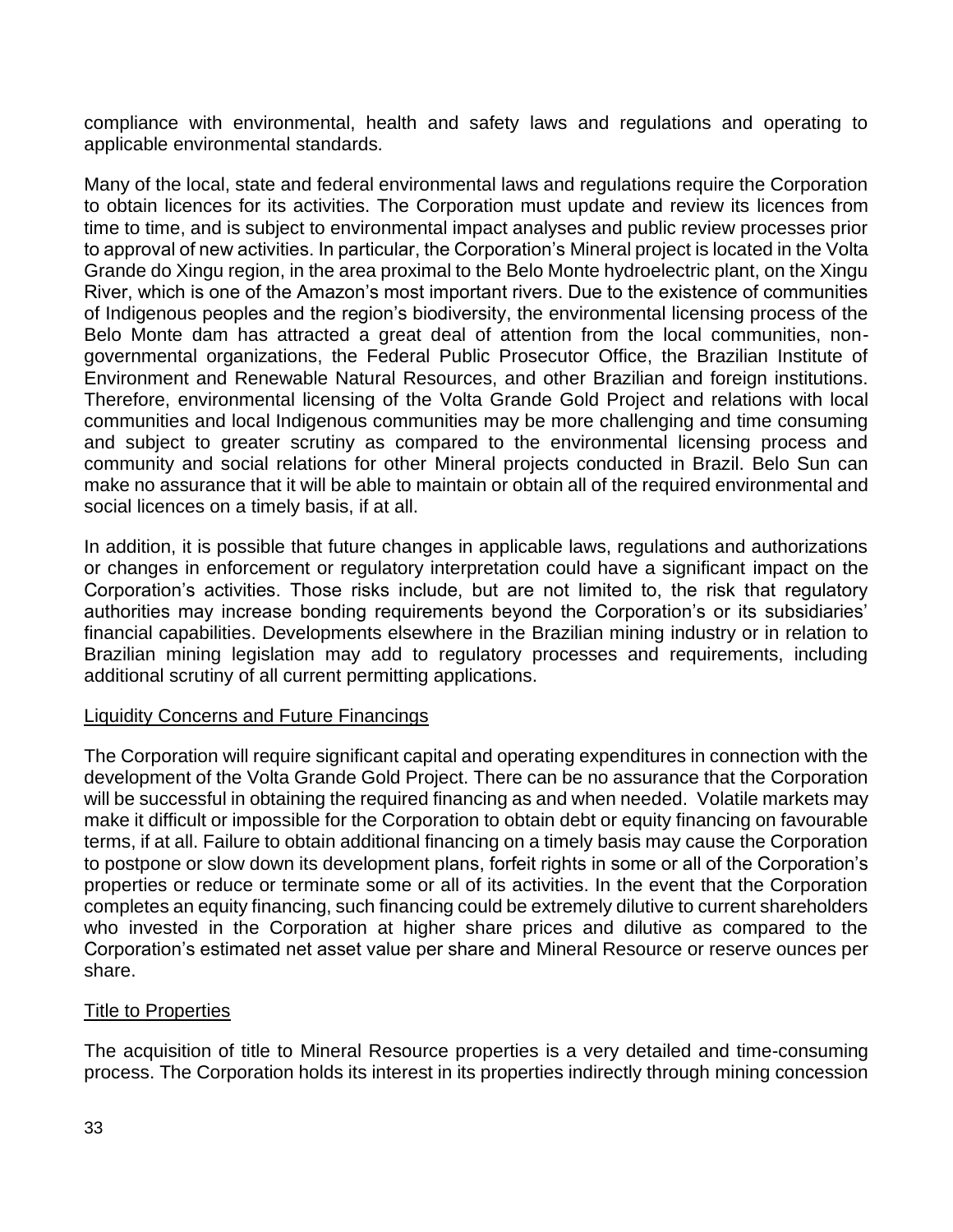compliance with environmental, health and safety laws and regulations and operating to applicable environmental standards.

Many of the local, state and federal environmental laws and regulations require the Corporation to obtain licences for its activities. The Corporation must update and review its licences from time to time, and is subject to environmental impact analyses and public review processes prior to approval of new activities. In particular, the Corporation's Mineral project is located in the Volta Grande do Xingu region, in the area proximal to the Belo Monte hydroelectric plant, on the Xingu River, which is one of the Amazon's most important rivers. Due to the existence of communities of Indigenous peoples and the region's biodiversity, the environmental licensing process of the Belo Monte dam has attracted a great deal of attention from the local communities, nongovernmental organizations, the Federal Public Prosecutor Office, the Brazilian Institute of Environment and Renewable Natural Resources, and other Brazilian and foreign institutions. Therefore, environmental licensing of the Volta Grande Gold Project and relations with local communities and local Indigenous communities may be more challenging and time consuming and subject to greater scrutiny as compared to the environmental licensing process and community and social relations for other Mineral projects conducted in Brazil. Belo Sun can make no assurance that it will be able to maintain or obtain all of the required environmental and social licences on a timely basis, if at all.

In addition, it is possible that future changes in applicable laws, regulations and authorizations or changes in enforcement or regulatory interpretation could have a significant impact on the Corporation's activities. Those risks include, but are not limited to, the risk that regulatory authorities may increase bonding requirements beyond the Corporation's or its subsidiaries' financial capabilities. Developments elsewhere in the Brazilian mining industry or in relation to Brazilian mining legislation may add to regulatory processes and requirements, including additional scrutiny of all current permitting applications.

## Liquidity Concerns and Future Financings

The Corporation will require significant capital and operating expenditures in connection with the development of the Volta Grande Gold Project. There can be no assurance that the Corporation will be successful in obtaining the required financing as and when needed. Volatile markets may make it difficult or impossible for the Corporation to obtain debt or equity financing on favourable terms, if at all. Failure to obtain additional financing on a timely basis may cause the Corporation to postpone or slow down its development plans, forfeit rights in some or all of the Corporation's properties or reduce or terminate some or all of its activities. In the event that the Corporation completes an equity financing, such financing could be extremely dilutive to current shareholders who invested in the Corporation at higher share prices and dilutive as compared to the Corporation's estimated net asset value per share and Mineral Resource or reserve ounces per share.

## Title to Properties

The acquisition of title to Mineral Resource properties is a very detailed and time-consuming process. The Corporation holds its interest in its properties indirectly through mining concession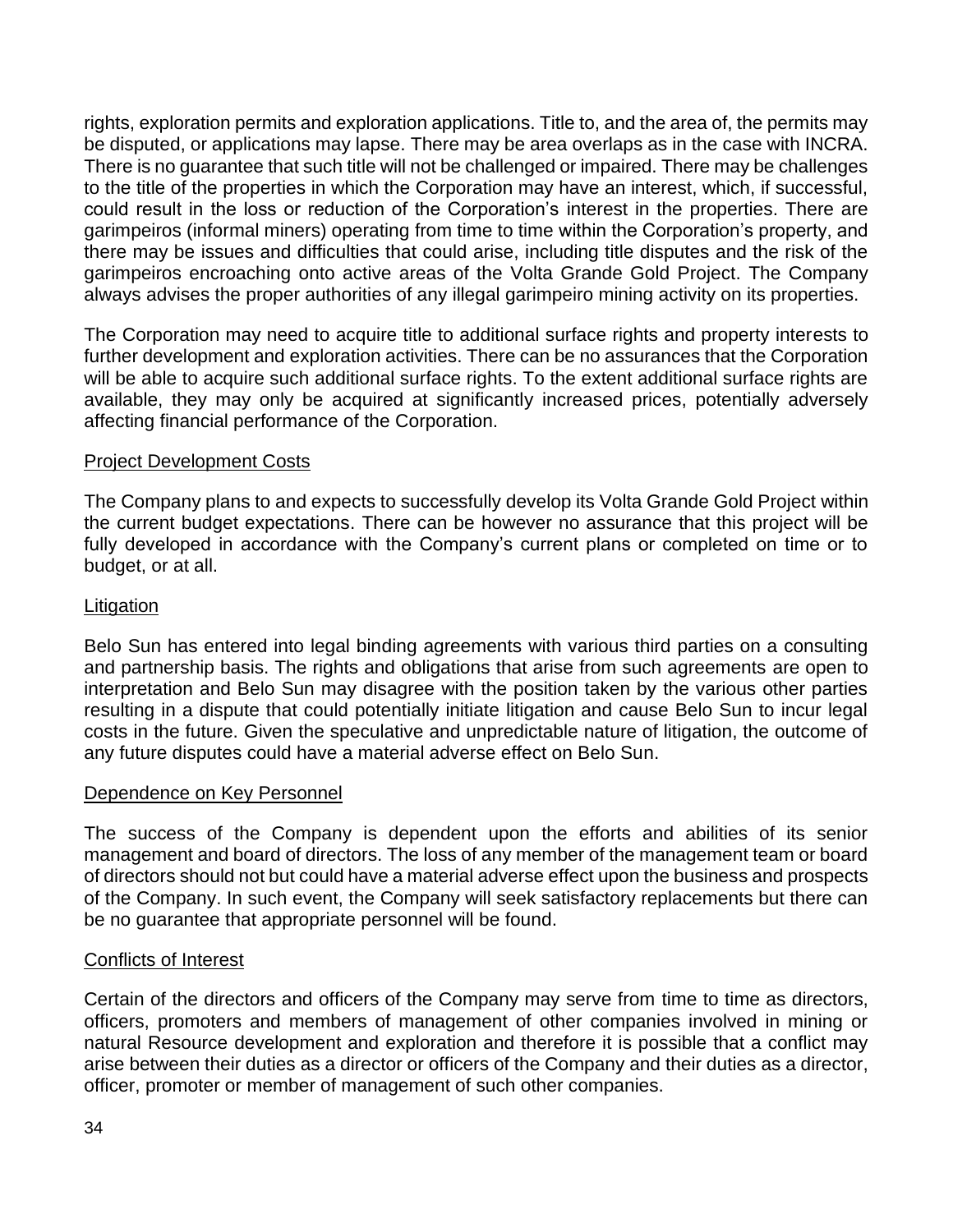rights, exploration permits and exploration applications. Title to, and the area of, the permits may be disputed, or applications may lapse. There may be area overlaps as in the case with INCRA. There is no guarantee that such title will not be challenged or impaired. There may be challenges to the title of the properties in which the Corporation may have an interest, which, if successful, could result in the loss or reduction of the Corporation's interest in the properties. There are garimpeiros (informal miners) operating from time to time within the Corporation's property, and there may be issues and difficulties that could arise, including title disputes and the risk of the garimpeiros encroaching onto active areas of the Volta Grande Gold Project. The Company always advises the proper authorities of any illegal garimpeiro mining activity on its properties.

The Corporation may need to acquire title to additional surface rights and property interests to further development and exploration activities. There can be no assurances that the Corporation will be able to acquire such additional surface rights. To the extent additional surface rights are available, they may only be acquired at significantly increased prices, potentially adversely affecting financial performance of the Corporation.

## Project Development Costs

The Company plans to and expects to successfully develop its Volta Grande Gold Project within the current budget expectations. There can be however no assurance that this project will be fully developed in accordance with the Company's current plans or completed on time or to budget, or at all.

## Litigation

Belo Sun has entered into legal binding agreements with various third parties on a consulting and partnership basis. The rights and obligations that arise from such agreements are open to interpretation and Belo Sun may disagree with the position taken by the various other parties resulting in a dispute that could potentially initiate litigation and cause Belo Sun to incur legal costs in the future. Given the speculative and unpredictable nature of litigation, the outcome of any future disputes could have a material adverse effect on Belo Sun.

## Dependence on Key Personnel

The success of the Company is dependent upon the efforts and abilities of its senior management and board of directors. The loss of any member of the management team or board of directors should not but could have a material adverse effect upon the business and prospects of the Company. In such event, the Company will seek satisfactory replacements but there can be no guarantee that appropriate personnel will be found.

## Conflicts of Interest

Certain of the directors and officers of the Company may serve from time to time as directors, officers, promoters and members of management of other companies involved in mining or natural Resource development and exploration and therefore it is possible that a conflict may arise between their duties as a director or officers of the Company and their duties as a director, officer, promoter or member of management of such other companies.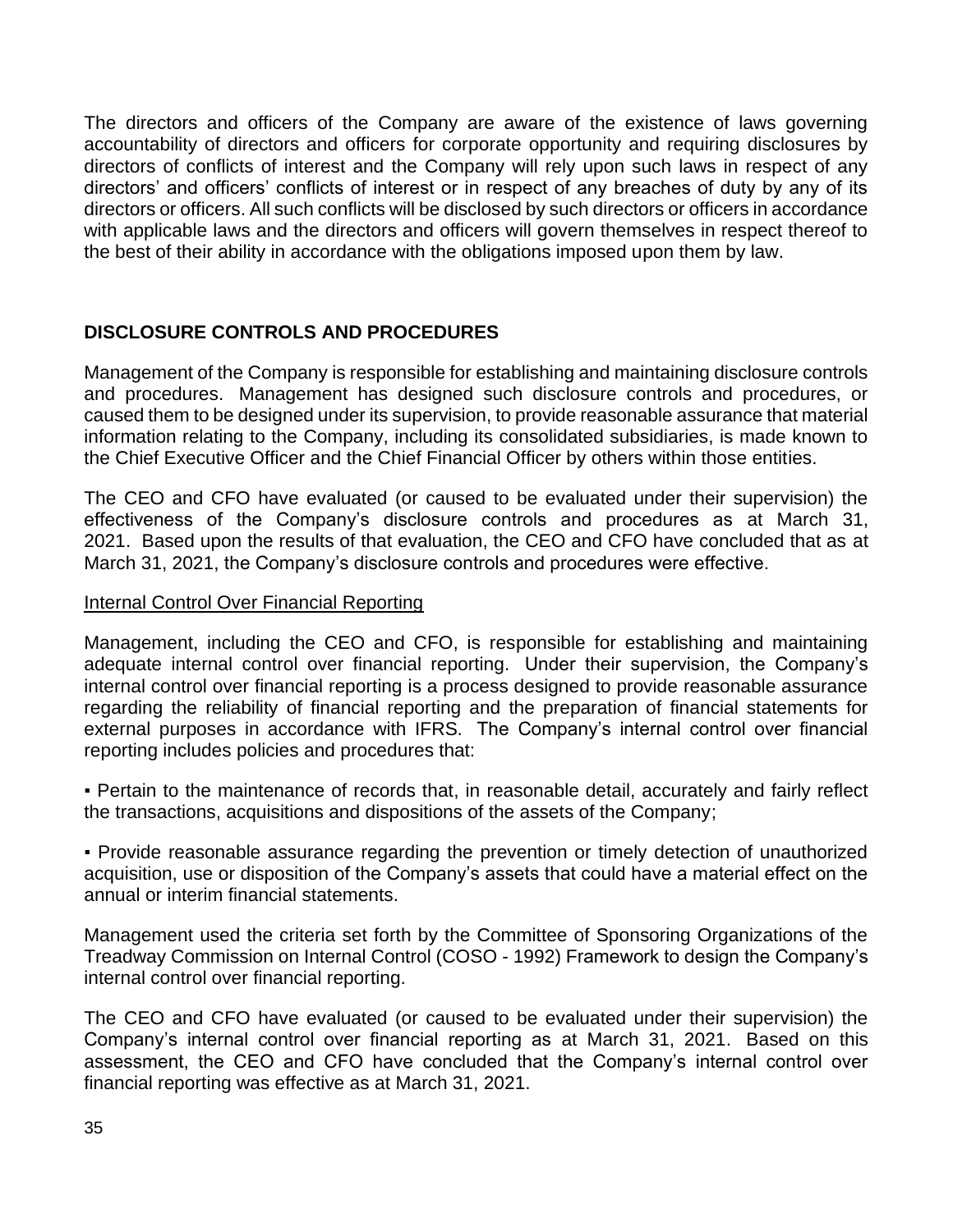The directors and officers of the Company are aware of the existence of laws governing accountability of directors and officers for corporate opportunity and requiring disclosures by directors of conflicts of interest and the Company will rely upon such laws in respect of any directors' and officers' conflicts of interest or in respect of any breaches of duty by any of its directors or officers. All such conflicts will be disclosed by such directors or officers in accordance with applicable laws and the directors and officers will govern themselves in respect thereof to the best of their ability in accordance with the obligations imposed upon them by law.

# **DISCLOSURE CONTROLS AND PROCEDURES**

Management of the Company is responsible for establishing and maintaining disclosure controls and procedures. Management has designed such disclosure controls and procedures, or caused them to be designed under its supervision, to provide reasonable assurance that material information relating to the Company, including its consolidated subsidiaries, is made known to the Chief Executive Officer and the Chief Financial Officer by others within those entities.

The CEO and CFO have evaluated (or caused to be evaluated under their supervision) the effectiveness of the Company's disclosure controls and procedures as at March 31, 2021. Based upon the results of that evaluation, the CEO and CFO have concluded that as at March 31, 2021, the Company's disclosure controls and procedures were effective.

## Internal Control Over Financial Reporting

Management, including the CEO and CFO, is responsible for establishing and maintaining adequate internal control over financial reporting. Under their supervision, the Company's internal control over financial reporting is a process designed to provide reasonable assurance regarding the reliability of financial reporting and the preparation of financial statements for external purposes in accordance with IFRS. The Company's internal control over financial reporting includes policies and procedures that:

▪ Pertain to the maintenance of records that, in reasonable detail, accurately and fairly reflect the transactions, acquisitions and dispositions of the assets of the Company;

▪ Provide reasonable assurance regarding the prevention or timely detection of unauthorized acquisition, use or disposition of the Company's assets that could have a material effect on the annual or interim financial statements.

Management used the criteria set forth by the Committee of Sponsoring Organizations of the Treadway Commission on Internal Control (COSO - 1992) Framework to design the Company's internal control over financial reporting.

The CEO and CFO have evaluated (or caused to be evaluated under their supervision) the Company's internal control over financial reporting as at March 31, 2021. Based on this assessment, the CEO and CFO have concluded that the Company's internal control over financial reporting was effective as at March 31, 2021.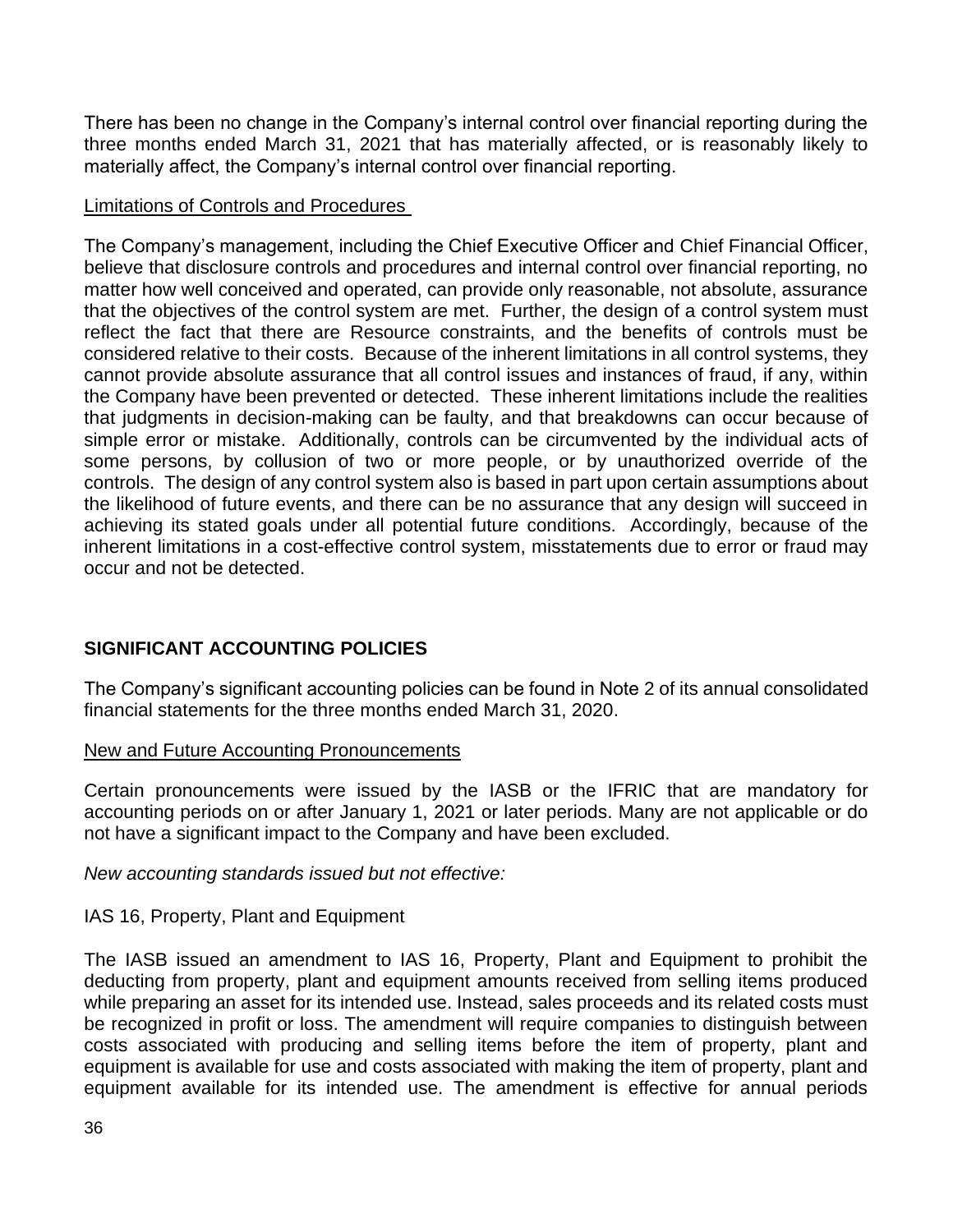There has been no change in the Company's internal control over financial reporting during the three months ended March 31, 2021 that has materially affected, or is reasonably likely to materially affect, the Company's internal control over financial reporting.

#### Limitations of Controls and Procedures

The Company's management, including the Chief Executive Officer and Chief Financial Officer, believe that disclosure controls and procedures and internal control over financial reporting, no matter how well conceived and operated, can provide only reasonable, not absolute, assurance that the objectives of the control system are met. Further, the design of a control system must reflect the fact that there are Resource constraints, and the benefits of controls must be considered relative to their costs. Because of the inherent limitations in all control systems, they cannot provide absolute assurance that all control issues and instances of fraud, if any, within the Company have been prevented or detected. These inherent limitations include the realities that judgments in decision-making can be faulty, and that breakdowns can occur because of simple error or mistake. Additionally, controls can be circumvented by the individual acts of some persons, by collusion of two or more people, or by unauthorized override of the controls. The design of any control system also is based in part upon certain assumptions about the likelihood of future events, and there can be no assurance that any design will succeed in achieving its stated goals under all potential future conditions. Accordingly, because of the inherent limitations in a cost-effective control system, misstatements due to error or fraud may occur and not be detected.

# **SIGNIFICANT ACCOUNTING POLICIES**

The Company's significant accounting policies can be found in Note 2 of its annual consolidated financial statements for the three months ended March 31, 2020.

## New and Future Accounting Pronouncements

Certain pronouncements were issued by the IASB or the IFRIC that are mandatory for accounting periods on or after January 1, 2021 or later periods. Many are not applicable or do not have a significant impact to the Company and have been excluded.

*New accounting standards issued but not effective:*

## IAS 16, Property, Plant and Equipment

The IASB issued an amendment to IAS 16, Property, Plant and Equipment to prohibit the deducting from property, plant and equipment amounts received from selling items produced while preparing an asset for its intended use. Instead, sales proceeds and its related costs must be recognized in profit or loss. The amendment will require companies to distinguish between costs associated with producing and selling items before the item of property, plant and equipment is available for use and costs associated with making the item of property, plant and equipment available for its intended use. The amendment is effective for annual periods